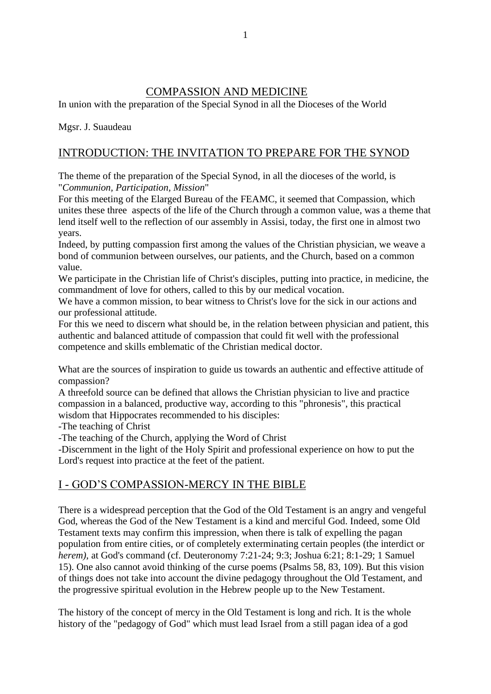## COMPASSION AND MEDICINE

In union with the preparation of the Special Synod in all the Dioceses of the World

Mgsr. J. Suaudeau

## INTRODUCTION: THE INVITATION TO PREPARE FOR THE SYNOD

The theme of the preparation of the Special Synod, in all the dioceses of the world, is "*Communion, Participation, Mission*"

For this meeting of the Elarged Bureau of the FEAMC, it seemed that Compassion, which unites these three aspects of the life of the Church through a common value, was a theme that lend itself well to the reflection of our assembly in Assisi, today, the first one in almost two years.

Indeed, by putting compassion first among the values of the Christian physician, we weave a bond of communion between ourselves, our patients, and the Church, based on a common value.

We participate in the Christian life of Christ's disciples, putting into practice, in medicine, the commandment of love for others, called to this by our medical vocation.

We have a common mission, to bear witness to Christ's love for the sick in our actions and our professional attitude.

For this we need to discern what should be, in the relation between physician and patient, this authentic and balanced attitude of compassion that could fit well with the professional competence and skills emblematic of the Christian medical doctor.

What are the sources of inspiration to guide us towards an authentic and effective attitude of compassion?

A threefold source can be defined that allows the Christian physician to live and practice compassion in a balanced, productive way, according to this "phronesis", this practical wisdom that Hippocrates recommended to his disciples:

-The teaching of Christ

-The teaching of the Church, applying the Word of Christ

-Discernment in the light of the Holy Spirit and professional experience on how to put the Lord's request into practice at the feet of the patient.

# I - GOD'S COMPASSION-MERCY IN THE BIBLE

There is a widespread perception that the God of the Old Testament is an angry and vengeful God, whereas the God of the New Testament is a kind and merciful God. Indeed, some Old Testament texts may confirm this impression, when there is talk of expelling the pagan population from entire cities, or of completely exterminating certain peoples (the interdict or *herem)*, at God's command (cf. Deuteronomy 7:21-24; 9:3; Joshua 6:21; 8:1-29; 1 Samuel 15). One also cannot avoid thinking of the curse poems (Psalms 58, 83, 109). But this vision of things does not take into account the divine pedagogy throughout the Old Testament, and the progressive spiritual evolution in the Hebrew people up to the New Testament.

The history of the concept of mercy in the Old Testament is long and rich. It is the whole history of the "pedagogy of God" which must lead Israel from a still pagan idea of a god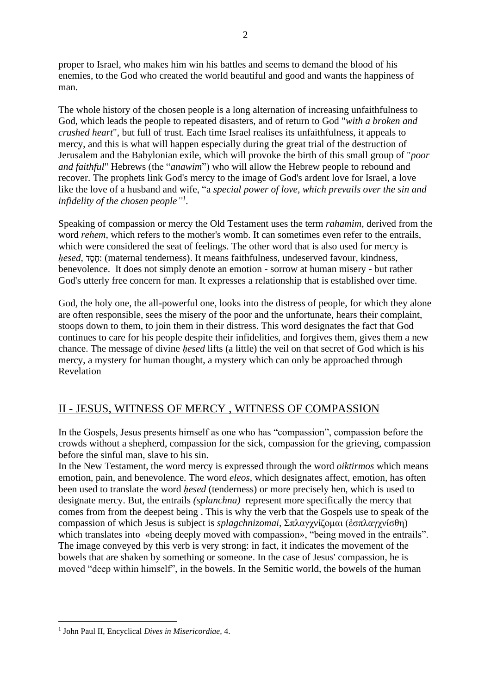proper to Israel, who makes him win his battles and seems to demand the blood of his enemies, to the God who created the world beautiful and good and wants the happiness of man.

The whole history of the chosen people is a long alternation of increasing unfaithfulness to God, which leads the people to repeated disasters, and of return to God "*with a broken and crushed heart*", but full of trust. Each time Israel realises its unfaithfulness, it appeals to mercy, and this is what will happen especially during the great trial of the destruction of Jerusalem and the Babylonian exile, which will provoke the birth of this small group of "*poor and faithful*" Hebrews (the "*anawim*") who will allow the Hebrew people to rebound and recover. The prophets link God's mercy to the image of God's ardent love for Israel, a love like the love of a husband and wife, "a *special power of love, which prevails over the sin and infidelity of the chosen people" 1 .*

Speaking of compassion or mercy the Old Testament uses the term *rahamim,* derived from the word *rehem*, which refers to the mother's womb. It can sometimes even refer to the entrails, which were considered the seat of feelings. The other word that is also used for mercy is *hesed*, <sub>י</sub>חסד: (maternal tenderness). It means faithfulness, undeserved favour, kindness, benevolence. It does not simply denote an emotion - sorrow at human misery - but rather God's utterly free concern for man. It expresses a relationship that is established over time.

God, the holy one, the all-powerful one, looks into the distress of people, for which they alone are often responsible, sees the misery of the poor and the unfortunate, hears their complaint, stoops down to them, to join them in their distress. This word designates the fact that God continues to care for his people despite their infidelities, and forgives them, gives them a new chance. The message of divine *ḥesed* lifts (a little) the veil on that secret of God which is his mercy, a mystery for human thought, a mystery which can only be approached through Revelation

# II - JESUS, WITNESS OF MERCY , WITNESS OF COMPASSION

In the Gospels, Jesus presents himself as one who has "compassion", compassion before the crowds without a shepherd, compassion for the sick, compassion for the grieving, compassion before the sinful man, slave to his sin.

In the New Testament, the word mercy is expressed through the word *oiktirmos* which means emotion, pain, and benevolence. The word *eleos*, which designates affect, emotion, has often been used to translate the word *ḥesed* (tenderness) or more precisely hen*,* which is used to designate mercy. But, the entrails *(splanchna)* represent more specifically the mercy that comes from from the deepest being . This is why the verb that the Gospels use to speak of the compassion of which Jesus is subject is *splagchnizomai*, Σπλαγχνίζομαι (ἐσπλαγχνίσθη) which translates into «being deeply moved with compassion», "being moved in the entrails". The image conveyed by this verb is very strong: in fact, it indicates the movement of the bowels that are shaken by something or someone. In the case of Jesus' compassion, he is moved "deep within himself", in the bowels. In the Semitic world, the bowels of the human

<sup>1</sup> John Paul II, Encyclical *Dives in Misericordiae,* 4.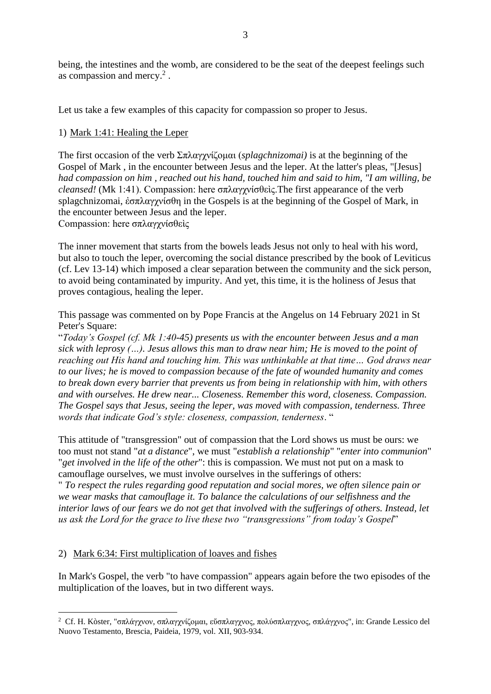being, the intestines and the womb, are considered to be the seat of the deepest feelings such as compassion and mercy. $2$ .

Let us take a few examples of this capacity for compassion so proper to Jesus.

## 1) Mark 1:41: Healing the Leper

The first occasion of the verb Σπλαγχνίζομαι (*splagchnizomai)* is at the beginning of the Gospel of Mark , in the encounter between Jesus and the leper. At the latter's pleas, "[Jesus] *had compassion on him , reached out his hand, touched him and said to him, "I am willing, be cleansed!* (Mk 1:41). Compassion: here σπλαγχνίσθεὶς.The first appearance of the verb splagchnizomai, ἐσπλαγχνίσθη in the Gospels is at the beginning of the Gospel of Mark, in the encounter between Jesus and the leper.

Compassion: here σπλαγχνίσθεὶς

The inner movement that starts from the bowels leads Jesus not only to heal with his word, but also to touch the leper, overcoming the social distance prescribed by the book of Leviticus (cf. Lev 13-14) which imposed a clear separation between the community and the sick person, to avoid being contaminated by impurity. And yet, this time, it is the holiness of Jesus that proves contagious, healing the leper.

This passage was commented on by Pope Francis at the Angelus on 14 February 2021 in St Peter's Square:

"*Today's Gospel (cf. Mk 1:40-45) presents us with the encounter between Jesus and a man sick with leprosy (…). Jesus allows this man to draw near him; He is moved to the point of reaching out His hand and touching him. This was unthinkable at that time… God draws near to our lives; he is moved to compassion because of the fate of wounded humanity and comes to break down every barrier that prevents us from being in relationship with him, with others and with ourselves. He drew near... Closeness. Remember this word, closeness. Compassion. The Gospel says that Jesus, seeing the leper, was moved with compassion, tenderness. Three words that indicate God's style: closeness, compassion, tenderness*. "

This attitude of "transgression" out of compassion that the Lord shows us must be ours: we too must not stand "*at a distance*", we must "*establish a relationship*" "*enter into communion*" "*get involved in the life of the other*": this is compassion. We must not put on a mask to camouflage ourselves, we must involve ourselves in the sufferings of others:

" *To respect the rules regarding good reputation and social mores, we often silence pain or we wear masks that camouflage it. To balance the calculations of our selfishness and the interior laws of our fears we do not get that involved with the sufferings of others. Instead, let us ask the Lord for the grace to live these two "transgressions" from today's Gospel*"

### 2) Mark 6:34: First multiplication of loaves and fishes

In Mark's Gospel, the verb "to have compassion" appears again before the two episodes of the multiplication of the loaves, but in two different ways.

<sup>2</sup> Cf. H. Kòster, "σπλάγχνον, σπλαγχνίζομαι, εὔσπλαγχνος, πολύσπλαγχνος, σπλάγχνος", in: Grande Lessico del Nuovo Testamento, Brescia, Paideia, 1979, vol. XII, 903-934.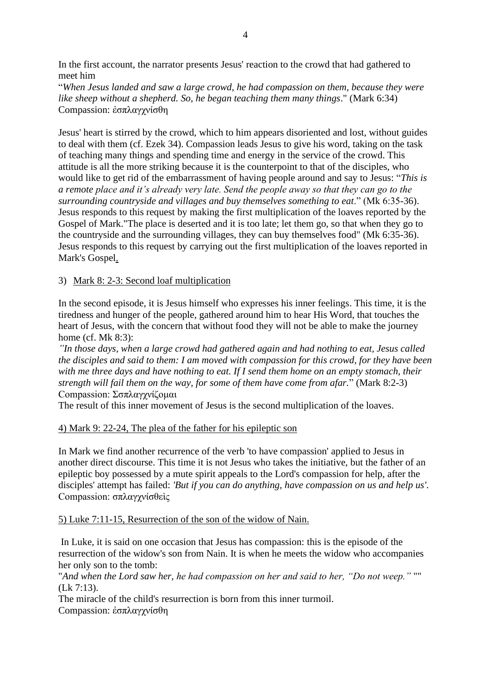In the first account, the narrator presents Jesus' reaction to the crowd that had gathered to meet him

"*When Jesus landed and saw a large crowd, he had compassion on them, because they were like sheep without a shepherd. So, he began teaching them many things*." (Mark 6:34) Compassion: ἐσπλαγχνίσθη

Jesus' heart is stirred by the crowd, which to him appears disoriented and lost, without guides to deal with them (cf. Ezek 34). Compassion leads Jesus to give his word, taking on the task of teaching many things and spending time and energy in the service of the crowd. This attitude is all the more striking because it is the counterpoint to that of the disciples, who would like to get rid of the embarrassment of having people around and say to Jesus: "*This is a remote place and it's already very late. Send the people away so that they can go to the surrounding countryside and villages and buy themselves something to eat*." (Mk 6:35-36). Jesus responds to this request by making the first multiplication of the loaves reported by the Gospel of Mark."The place is deserted and it is too late; let them go, so that when they go to the countryside and the surrounding villages, they can buy themselves food" (Mk 6:35-36). Jesus responds to this request by carrying out the first multiplication of the loaves reported in Mark's Gospel.

### 3) Mark 8: 2-3: Second loaf multiplication

In the second episode, it is Jesus himself who expresses his inner feelings. This time, it is the tiredness and hunger of the people, gathered around him to hear His Word, that touches the heart of Jesus, with the concern that without food they will not be able to make the journey home (cf. Mk 8:3):

*"In those days, when a large crowd had gathered again and had nothing to eat, Jesus called the disciples and said to them: I am moved with compassion for this crowd, for they have been with me three days and have nothing to eat. If I send them home on an empty stomach, their strength will fail them on the way, for some of them have come from afar.*" (Mark 8:2-3) Compassion: Σσπλαγχνίζομαι

The result of this inner movement of Jesus is the second multiplication of the loaves.

### 4) Mark 9: 22-24, The plea of the father for his epileptic son

In Mark we find another recurrence of the verb 'to have compassion' applied to Jesus in another direct discourse. This time it is not Jesus who takes the initiative, but the father of an epileptic boy possessed by a mute spirit appeals to the Lord's compassion for help, after the disciples' attempt has failed: *'But if you can do anything, have compassion on us and help us'*. Compassion: σπλαγχνίσθεὶς

#### 5) Luke 7:11-15, Resurrection of the son of the widow of Nain.

In Luke, it is said on one occasion that Jesus has compassion: this is the episode of the resurrection of the widow's son from Nain. It is when he meets the widow who accompanies her only son to the tomb:

"*And when the Lord saw her, he had compassion on her and said to her, "Do not weep."* "" (Lk 7:13).

The miracle of the child's resurrection is born from this inner turmoil. Compassion: ἐσπλαγχνίσθη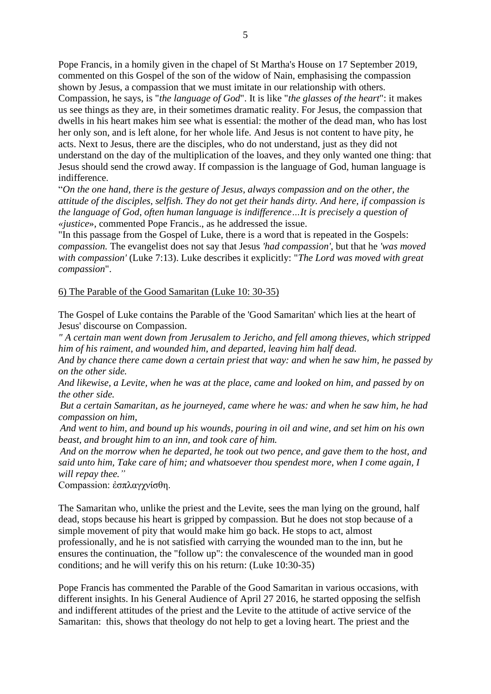Pope Francis, in a homily given in the chapel of St Martha's House on 17 September 2019, commented on this Gospel of the son of the widow of Nain, emphasising the compassion shown by Jesus, a compassion that we must imitate in our relationship with others. Compassion, he says, is "*the language of God*". It is like "*the glasses of the heart*": it makes us see things as they are, in their sometimes dramatic reality. For Jesus, the compassion that dwells in his heart makes him see what is essential: the mother of the dead man, who has lost her only son, and is left alone, for her whole life. And Jesus is not content to have pity, he acts. Next to Jesus, there are the disciples, who do not understand, just as they did not understand on the day of the multiplication of the loaves, and they only wanted one thing: that Jesus should send the crowd away. If compassion is the language of God, human language is indifference.

"*On the one hand, there is the gesture of Jesus, always compassion and on the other, the attitude of the disciples, selfish. They do not get their hands dirty. And here, if compassion is the language of God, often human language is indifference…It is precisely a question of «justice*», commented Pope Francis., as he addressed the issue.

"In this passage from the Gospel of Luke, there is a word that is repeated in the Gospels: *compassion.* The evangelist does not say that Jesus *'had compassion'*, but that he *'was moved with compassion'* (Luke 7:13). Luke describes it explicitly: "*The Lord was moved with great compassion*".

#### 6) The Parable of the Good Samaritan (Luke 10: 30-35)

The Gospel of Luke contains the Parable of the 'Good Samaritan' which lies at the heart of Jesus' discourse on Compassion.

*" A certain man went down from Jerusalem to Jericho, and fell among thieves, which stripped him of his raiment, and wounded him, and departed, leaving him half dead.*

*And by chance there came down a certain priest that way: and when he saw him, he passed by on the other side.*

*And likewise, a Levite, when he was at the place, came and looked on him, and passed by on the other side.*

*But a certain Samaritan, as he journeyed, came where he was: and when he saw him, he had compassion on him,*

*And went to him, and bound up his wounds, pouring in oil and wine, and set him on his own beast, and brought him to an inn, and took care of him.*

*And on the morrow when he departed, he took out two pence, and gave them to the host, and said unto him, Take care of him; and whatsoever thou spendest more, when I come again, I will repay thee."*

Compassion: ἐσπλαγχνίσθη.

The Samaritan who, unlike the priest and the Levite, sees the man lying on the ground, half dead, stops because his heart is gripped by compassion. But he does not stop because of a simple movement of pity that would make him go back. He stops to act, almost professionally, and he is not satisfied with carrying the wounded man to the inn, but he ensures the continuation, the "follow up": the convalescence of the wounded man in good conditions; and he will verify this on his return: (Luke 10:30-35)

Pope Francis has commented the Parable of the Good Samaritan in various occasions, with different insights. In his General Audience of April 27 2016, he started opposing the selfish and indifferent attitudes of the priest and the Levite to the attitude of active service of the Samaritan: this, shows that theology do not help to get a loving heart. The priest and the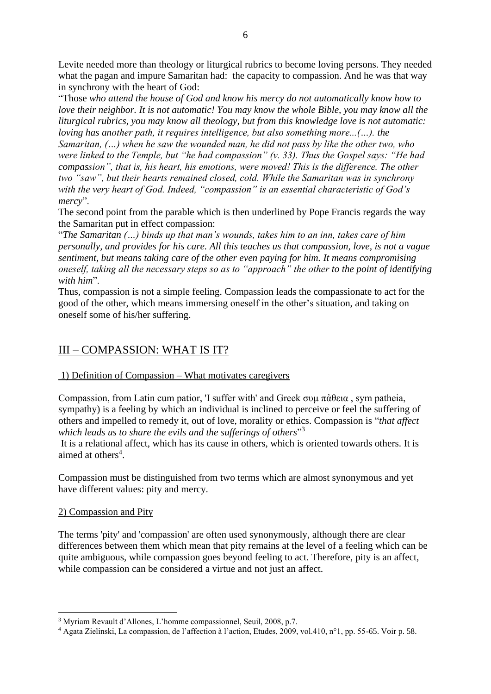Levite needed more than theology or liturgical rubrics to become loving persons. They needed what the pagan and impure Samaritan had: the capacity to compassion. And he was that way in synchrony with the heart of God:

"Those *who attend the house of God and know his mercy do not automatically know how to love their neighbor. It is not automatic! You may know the whole Bible, you may know all the liturgical rubrics, you may know all theology, but from this knowledge love is not automatic: loving has another path, it requires intelligence, but also something more...(…). the* 

*Samaritan, (…) when he saw the wounded man, he did not pass by like the other two, who were linked to the Temple, but "he had compassion" (v. 33). Thus the Gospel says: "He had compassion", that is, his heart, his emotions, were moved! This is the difference. The other two "saw", but their hearts remained closed, cold. While the Samaritan was in synchrony with the very heart of God. Indeed, "compassion" is an essential characteristic of God's mercy*".

The second point from the parable which is then underlined by Pope Francis regards the way the Samaritan put in effect compassion:

"*The Samaritan (…) binds up that man's wounds, takes him to an inn, takes care of him personally, and provides for his care. All this teaches us that compassion, love, is not a vague sentiment, but means taking care of the other even paying for him. It means compromising oneself, taking all the necessary steps so as to "approach" the other to the point of identifying with him*".

Thus, compassion is not a simple feeling. Compassion leads the compassionate to act for the good of the other, which means immersing oneself in the other's situation, and taking on oneself some of his/her suffering.

## III – COMPASSION: WHAT IS IT?

### 1) Definition of Compassion – What motivates caregivers

Compassion, from Latin cum patior, 'I suffer with' and Greek συμ πάθεια, sym patheia, sympathy) is a feeling by which an individual is inclined to perceive or feel the suffering of others and impelled to remedy it, out of love, morality or ethics. Compassion is "*that affect which leads us to share the evils and the sufferings of others*" 3

It is a relational affect, which has its cause in others, which is oriented towards others. It is aimed at others<sup>4</sup>.

Compassion must be distinguished from two terms which are almost synonymous and yet have different values: pity and mercy.

### 2) Compassion and Pity

The terms 'pity' and 'compassion' are often used synonymously, although there are clear differences between them which mean that pity remains at the level of a feeling which can be quite ambiguous, while compassion goes beyond feeling to act. Therefore, pity is an affect, while compassion can be considered a virtue and not just an affect.

<sup>3</sup> Myriam Revault d'Allones, L'homme compassionnel, Seuil, 2008, p.7.

<sup>4</sup> Agata Zielinski, La compassion, de l'affection à l'action, Etudes, 2009, vol.410, n°1, pp. 55-65. Voir p. 58.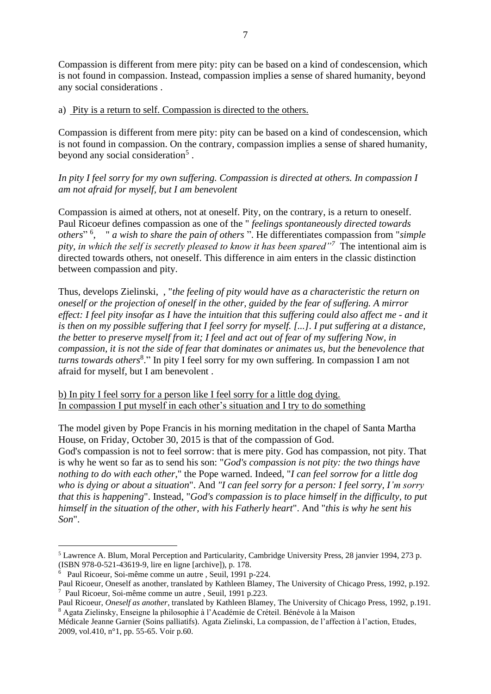Compassion is different from mere pity: pity can be based on a kind of condescension, which is not found in compassion. Instead, compassion implies a sense of shared humanity, beyond any social considerations .

#### a) Pity is a return to self. Compassion is directed to the others.

Compassion is different from mere pity: pity can be based on a kind of condescension, which is not found in compassion. On the contrary, compassion implies a sense of shared humanity, beyond any social consideration<sup>5</sup>.

*In pity I feel sorry for my own suffering. Compassion is directed at others. In compassion I am not afraid for myself, but I am benevolent* 

Compassion is aimed at others, not at oneself. Pity, on the contrary, is a return to oneself. Paul Ricoeur defines compassion as one of the " *feelings spontaneously directed towards others*" <sup>6</sup> , " *a wish to share the pain of others* ". He differentiates compassion from "*simple pity, in which the self is secretly pleased to know it has been spared"<sup>7</sup>* The intentional aim is directed towards others, not oneself. This difference in aim enters in the classic distinction between compassion and pity.

Thus, develops Zielinski, , "*the feeling of pity would have as a characteristic the return on oneself or the projection of oneself in the other, guided by the fear of suffering. A mirror effect: I feel pity insofar as I have the intuition that this suffering could also affect me - and it is then on my possible suffering that I feel sorry for myself. [...]*. *I put suffering at a distance, the better to preserve myself from it; I feel and act out of fear of my suffering Now, in compassion, it is not the side of fear that dominates or animates us, but the benevolence that turns towards others*<sup>8</sup> ." In pity I feel sorry for my own suffering. In compassion I am not afraid for myself, but I am benevolent .

b) In pity I feel sorry for a person like I feel sorry for a little dog dying. In compassion I put myself in each other's situation and I try to do something

The model given by Pope Francis in his morning meditation in the chapel of Santa Martha House, on Friday, October 30, 2015 is that of the compassion of God.

God's compassion is not to feel sorrow: that is mere pity. God has compassion, not pity. That is why he went so far as to send his son: "*God's compassion is not pity: the two things have nothing to do with each other*," the Pope warned. Indeed, "*I can feel sorrow for a little dog who is dying or about a situation*". And *"I can feel sorry for a person: I feel sorry, I'm sorry that this is happening*". Instead, "*God's compassion is to place himself in the difficulty, to put himself in the situation of the other, with his Fatherly heart*". And "*this is why he sent his Son*".

<sup>5</sup> Lawrence A. Blum, Moral Perception and Particularity, Cambridge University Press, 28 janvier 1994, 273 p. (ISBN 978-0-521-43619-9, lire en ligne [archive]), p. 178.

<sup>6</sup> Paul Ricoeur, Soi-même comme un autre , Seuil, 1991 p-224.

Paul Ricoeur, Oneself as another, translated by Kathleen Blamey, The University of Chicago Press, 1992, p.192. 7 Paul Ricoeur, Soi-même comme un autre , Seuil, 1991 p.223.

Paul Ricoeur, *Oneself as another*, translated by Kathleen Blamey, The University of Chicago Press, 1992, p.191. <sup>8</sup> Agata Zielinsky, Enseigne la philosophie à l'Académie de Créteil. Bénévole à la Maison

Médicale Jeanne Garnier (Soins palliatifs). Agata Zielinski, La compassion, de l'affection à l'action, Etudes, 2009, vol.410, n°1, pp. 55-65. Voir p.60.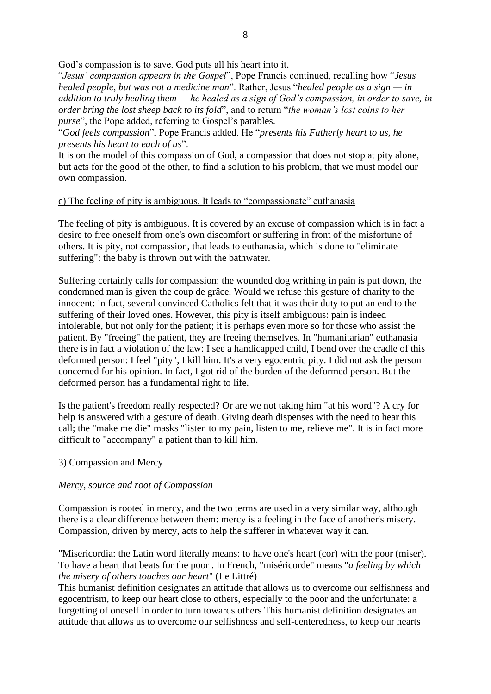God's compassion is to save. God puts all his heart into it.

"*Jesus' compassion appears in the Gospel*", Pope Francis continued, recalling how "*Jesus healed people, but was not a medicine man*". Rather, Jesus "*healed people as a sign — in addition to truly healing them — he healed as a sign of God's compassion, in order to save, in order bring the lost sheep back to its fold*", and to return "*the woman's lost coins to her purse*", the Pope added, referring to Gospel's parables.

"*God feels compassion*", Pope Francis added. He "*presents his Fatherly heart to us, he presents his heart to each of us*".

It is on the model of this compassion of God, a compassion that does not stop at pity alone, but acts for the good of the other, to find a solution to his problem, that we must model our own compassion.

### c) The feeling of pity is ambiguous. It leads to "compassionate" euthanasia

The feeling of pity is ambiguous. It is covered by an excuse of compassion which is in fact a desire to free oneself from one's own discomfort or suffering in front of the misfortune of others. It is pity, not compassion, that leads to euthanasia, which is done to "eliminate suffering": the baby is thrown out with the bathwater.

Suffering certainly calls for compassion: the wounded dog writhing in pain is put down, the condemned man is given the coup de grâce. Would we refuse this gesture of charity to the innocent: in fact, several convinced Catholics felt that it was their duty to put an end to the suffering of their loved ones. However, this pity is itself ambiguous: pain is indeed intolerable, but not only for the patient; it is perhaps even more so for those who assist the patient. By "freeing" the patient, they are freeing themselves. In "humanitarian" euthanasia there is in fact a violation of the law: I see a handicapped child, I bend over the cradle of this deformed person: I feel "pity", I kill him. It's a very egocentric pity. I did not ask the person concerned for his opinion. In fact, I got rid of the burden of the deformed person. But the deformed person has a fundamental right to life.

Is the patient's freedom really respected? Or are we not taking him "at his word"? A cry for help is answered with a gesture of death. Giving death dispenses with the need to hear this call; the "make me die" masks "listen to my pain, listen to me, relieve me". It is in fact more difficult to "accompany" a patient than to kill him.

### 3) Compassion and Mercy

### *Mercy, source and root of Compassion*

Compassion is rooted in mercy, and the two terms are used in a very similar way, although there is a clear difference between them: mercy is a feeling in the face of another's misery. Compassion, driven by mercy, acts to help the sufferer in whatever way it can.

"Misericordia: the Latin word literally means: to have one's heart (cor) with the poor (miser). To have a heart that beats for the poor . In French, "miséricorde" means "*a feeling by which the misery of others touches our heart*" (Le Littré)

This humanist definition designates an attitude that allows us to overcome our selfishness and egocentrism, to keep our heart close to others, especially to the poor and the unfortunate: a forgetting of oneself in order to turn towards others This humanist definition designates an attitude that allows us to overcome our selfishness and self-centeredness, to keep our hearts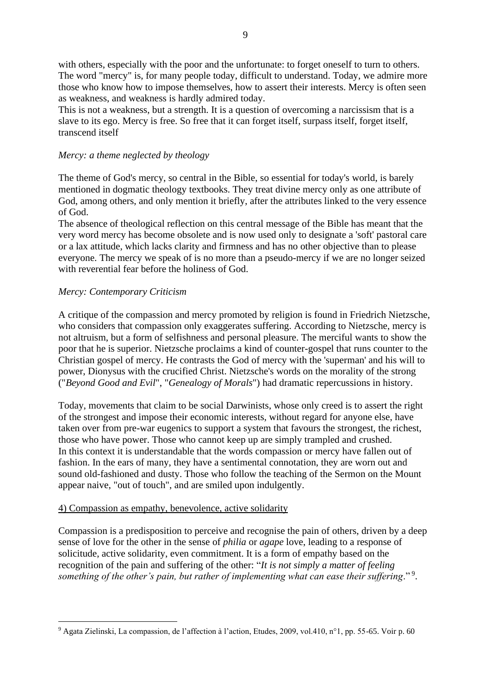with others, especially with the poor and the unfortunate: to forget oneself to turn to others. The word "mercy" is, for many people today, difficult to understand. Today, we admire more those who know how to impose themselves, how to assert their interests. Mercy is often seen as weakness, and weakness is hardly admired today.

This is not a weakness, but a strength. It is a question of overcoming a narcissism that is a slave to its ego. Mercy is free. So free that it can forget itself, surpass itself, forget itself, transcend itself

### *Mercy: a theme neglected by theology*

The theme of God's mercy, so central in the Bible, so essential for today's world, is barely mentioned in dogmatic theology textbooks. They treat divine mercy only as one attribute of God, among others, and only mention it briefly, after the attributes linked to the very essence of God.

The absence of theological reflection on this central message of the Bible has meant that the very word mercy has become obsolete and is now used only to designate a 'soft' pastoral care or a lax attitude, which lacks clarity and firmness and has no other objective than to please everyone. The mercy we speak of is no more than a pseudo-mercy if we are no longer seized with reverential fear before the holiness of God.

#### *Mercy: Contemporary Criticism*

A critique of the compassion and mercy promoted by religion is found in Friedrich Nietzsche, who considers that compassion only exaggerates suffering. According to Nietzsche, mercy is not altruism, but a form of selfishness and personal pleasure. The merciful wants to show the poor that he is superior. Nietzsche proclaims a kind of counter-gospel that runs counter to the Christian gospel of mercy. He contrasts the God of mercy with the 'superman' and his will to power, Dionysus with the crucified Christ. Nietzsche's words on the morality of the strong ("*Beyond Good and Evil*", "*Genealogy of Morals*") had dramatic repercussions in history.

Today, movements that claim to be social Darwinists, whose only creed is to assert the right of the strongest and impose their economic interests, without regard for anyone else, have taken over from pre-war eugenics to support a system that favours the strongest, the richest, those who have power. Those who cannot keep up are simply trampled and crushed. In this context it is understandable that the words compassion or mercy have fallen out of fashion. In the ears of many, they have a sentimental connotation, they are worn out and sound old-fashioned and dusty. Those who follow the teaching of the Sermon on the Mount appear naive, "out of touch", and are smiled upon indulgently.

#### 4) Compassion as empathy, benevolence, active solidarity

Compassion is a predisposition to perceive and recognise the pain of others, driven by a deep sense of love for the other in the sense of *philia* or *agape* love, leading to a response of solicitude, active solidarity, even commitment. It is a form of empathy based on the recognition of the pain and suffering of the other: "*It is not simply a matter of feeling something of the other's pain, but rather of implementing what can ease their suffering*." <sup>9</sup> .

<sup>9</sup> Agata Zielinski, La compassion, de l'affection à l'action, Etudes, 2009, vol.410, n°1, pp. 55-65. Voir p. 60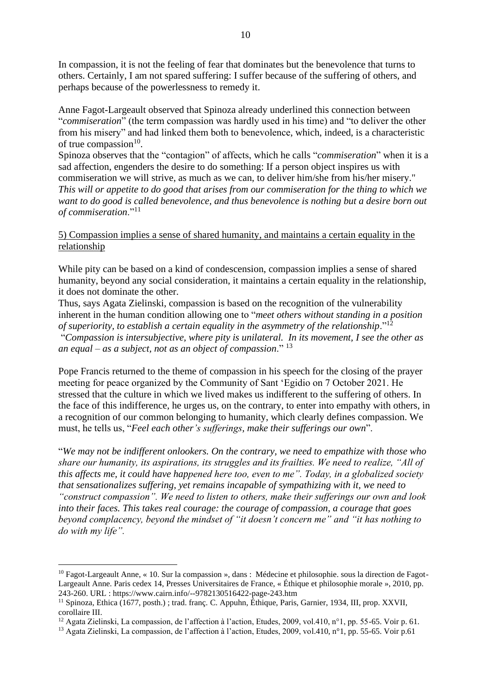In compassion, it is not the feeling of fear that dominates but the benevolence that turns to others. Certainly, I am not spared suffering: I suffer because of the suffering of others, and perhaps because of the powerlessness to remedy it.

Anne Fagot-Largeault observed that Spinoza already underlined this connection between "*commiseration*" (the term compassion was hardly used in his time) and "to deliver the other from his misery" and had linked them both to benevolence, which, indeed, is a characteristic of true compassion $10$ .

Spinoza observes that the "contagion" of affects, which he calls "*commiseration*" when it is a sad affection, engenders the desire to do something: If a person object inspires us with commiseration we will strive, as much as we can, to deliver him/she from his/her misery." *This will or appetite to do good that arises from our commiseration for the thing to which we want to do good is called benevolence, and thus benevolence is nothing but a desire born out of commiseration*."<sup>11</sup>

## 5) Compassion implies a sense of shared humanity, and maintains a certain equality in the relationship

While pity can be based on a kind of condescension, compassion implies a sense of shared humanity, beyond any social consideration, it maintains a certain equality in the relationship, it does not dominate the other.

Thus, says Agata Zielinski, compassion is based on the recognition of the vulnerability inherent in the human condition allowing one to "*meet others without standing in a position of superiority, to establish a certain equality in the asymmetry of the relationship*."<sup>12</sup>

"*Compassion is intersubjective, where pity is unilateral. In its movement, I see the other as an equal – as a subject, not as an object of compassion*." <sup>13</sup>

Pope Francis returned to the theme of compassion in his speech for the closing of the prayer meeting for peace organized by the Community of Sant 'Egidio on 7 October 2021. He stressed that the culture in which we lived makes us indifferent to the suffering of others. In the face of this indifference, he urges us, on the contrary, to enter into empathy with others, in a recognition of our common belonging to humanity, which clearly defines compassion. We must, he tells us, "*Feel each other's sufferings, make their sufferings our own*".

"*We may not be indifferent onlookers. On the contrary, we need to empathize with those who share our humanity, its aspirations, its struggles and its frailties. We need to realize, "All of this affects me, it could have happened here too, even to me". Today, in a globalized society that sensationalizes suffering, yet remains incapable of sympathizing with it, we need to "construct compassion". We need to listen to others, make their sufferings our own and look into their faces. This takes real courage: the courage of compassion, a courage that goes beyond complacency, beyond the mindset of "it doesn't concern me" and "it has nothing to do with my life".*

<sup>&</sup>lt;sup>10</sup> Fagot-Largeault Anne, « 10. Sur la compassion », dans : Médecine et philosophie. sous la direction de Fagot-Largeault Anne. Paris cedex 14, Presses Universitaires de France, « Éthique et philosophie morale », 2010, pp. 243-260. URL : https://www.cairn.info/--9782130516422-page-243.htm

<sup>11</sup> Spinoza, Ethica (1677, posth.) ; trad. franç. C. Appuhn, Éthique, Paris, Garnier, 1934, III, prop. XXVII, corollaire III.

<sup>&</sup>lt;sup>12</sup> Agata Zielinski, La compassion, de l'affection à l'action, Etudes, 2009, vol.410, n°1, pp. 55-65. Voir p. 61.

<sup>13</sup> Agata Zielinski, La compassion, de l'affection à l'action, Etudes, 2009, vol.410, n°1, pp. 55-65. Voir p.61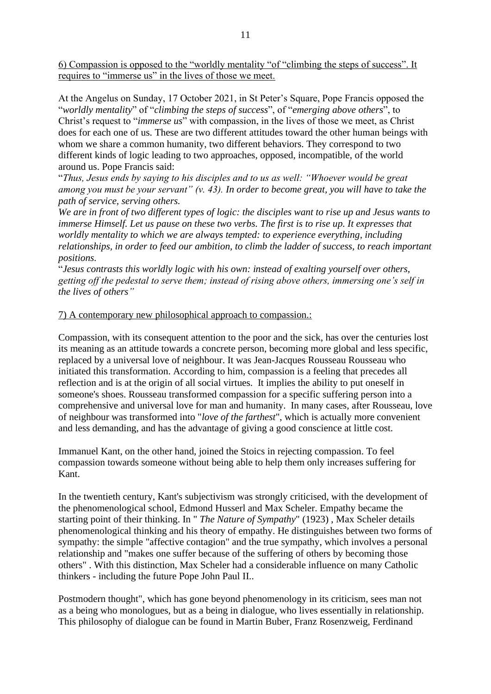6) Compassion is opposed to the "worldly mentality "of "climbing the steps of success". It requires to "immerse us" in the lives of those we meet.

At the Angelus on Sunday, 17 October 2021, in St Peter's Square, Pope Francis opposed the "*worldly mentality*" of "*climbing the steps of success*", of "*emerging above others*", to Christ's request to "*immerse us*" with compassion, in the lives of those we meet, as Christ does for each one of us. These are two different attitudes toward the other human beings with whom we share a common humanity, two different behaviors. They correspond to two different kinds of logic leading to two approaches, opposed, incompatible, of the world around us. Pope Francis said:

"*Thus, Jesus ends by saying to his disciples and to us as well: "Whoever would be great among you must be your servant" (v. 43). In order to become great, you will have to take the path of service, serving others.*

*We are in front of two different types of logic: the disciples want to rise up and Jesus wants to immerse Himself. Let us pause on these two verbs. The first is to rise up. It expresses that worldly mentality to which we are always tempted: to experience everything, including relationships, in order to feed our ambition, to climb the ladder of success, to reach important positions.* 

"*Jesus contrasts this worldly logic with his own: instead of exalting yourself over others, getting off the pedestal to serve them; instead of rising above others, immersing one's self in the lives of others"*

### 7) A contemporary new philosophical approach to compassion.:

Compassion, with its consequent attention to the poor and the sick, has over the centuries lost its meaning as an attitude towards a concrete person, becoming more global and less specific, replaced by a universal love of neighbour. It was Jean-Jacques Rousseau Rousseau who initiated this transformation. According to him, compassion is a feeling that precedes all reflection and is at the origin of all social virtues. It implies the ability to put oneself in someone's shoes. Rousseau transformed compassion for a specific suffering person into a comprehensive and universal love for man and humanity. In many cases, after Rousseau, love of neighbour was transformed into "*love of the farthest*", which is actually more convenient and less demanding, and has the advantage of giving a good conscience at little cost.

Immanuel Kant, on the other hand, joined the Stoics in rejecting compassion. To feel compassion towards someone without being able to help them only increases suffering for Kant.

In the twentieth century, Kant's subjectivism was strongly criticised, with the development of the phenomenological school, Edmond Husserl and Max Scheler. Empathy became the starting point of their thinking. In " *The Nature of Sympathy*" (1923) , Max Scheler details phenomenological thinking and his theory of empathy. He distinguishes between two forms of sympathy: the simple "affective contagion" and the true sympathy, which involves a personal relationship and "makes one suffer because of the suffering of others by becoming those others" . With this distinction, Max Scheler had a considerable influence on many Catholic thinkers - including the future Pope John Paul II..

Postmodern thought", which has gone beyond phenomenology in its criticism, sees man not as a being who monologues, but as a being in dialogue, who lives essentially in relationship. This philosophy of dialogue can be found in Martin Buber, Franz Rosenzweig, Ferdinand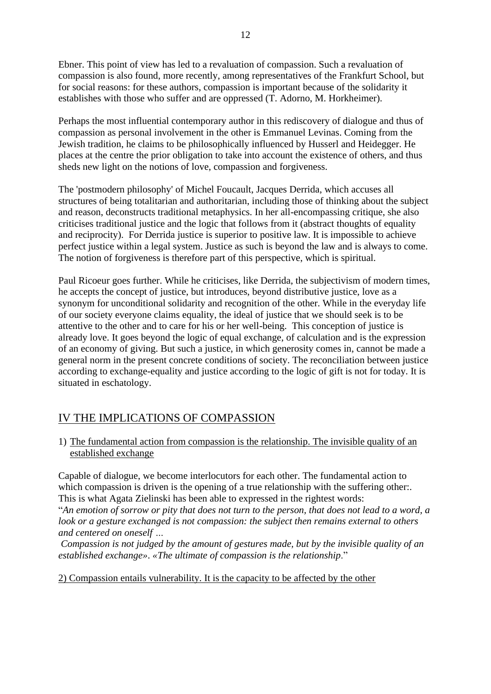Ebner. This point of view has led to a revaluation of compassion. Such a revaluation of compassion is also found, more recently, among representatives of the Frankfurt School, but for social reasons: for these authors, compassion is important because of the solidarity it establishes with those who suffer and are oppressed (T. Adorno, M. Horkheimer).

Perhaps the most influential contemporary author in this rediscovery of dialogue and thus of compassion as personal involvement in the other is Emmanuel Levinas. Coming from the Jewish tradition, he claims to be philosophically influenced by Husserl and Heidegger. He places at the centre the prior obligation to take into account the existence of others, and thus sheds new light on the notions of love, compassion and forgiveness.

The 'postmodern philosophy' of Michel Foucault, Jacques Derrida, which accuses all structures of being totalitarian and authoritarian, including those of thinking about the subject and reason, deconstructs traditional metaphysics. In her all-encompassing critique, she also criticises traditional justice and the logic that follows from it (abstract thoughts of equality and reciprocity). For Derrida justice is superior to positive law. It is impossible to achieve perfect justice within a legal system. Justice as such is beyond the law and is always to come. The notion of forgiveness is therefore part of this perspective, which is spiritual.

Paul Ricoeur goes further. While he criticises, like Derrida, the subjectivism of modern times, he accepts the concept of justice, but introduces, beyond distributive justice, love as a synonym for unconditional solidarity and recognition of the other. While in the everyday life of our society everyone claims equality, the ideal of justice that we should seek is to be attentive to the other and to care for his or her well-being. This conception of justice is already love. It goes beyond the logic of equal exchange, of calculation and is the expression of an economy of giving. But such a justice, in which generosity comes in, cannot be made a general norm in the present concrete conditions of society. The reconciliation between justice according to exchange-equality and justice according to the logic of gift is not for today. It is situated in eschatology.

# IV THE IMPLICATIONS OF COMPASSION

1) The fundamental action from compassion is the relationship. The invisible quality of an established exchange

Capable of dialogue, we become interlocutors for each other. The fundamental action to which compassion is driven is the opening of a true relationship with the suffering other... This is what Agata Zielinski has been able to expressed in the rightest words:

"*An emotion of sorrow or pity that does not turn to the person, that does not lead to a word, a look or a gesture exchanged is not compassion: the subject then remains external to others and centered on oneself …*

*Compassion is not judged by the amount of gestures made, but by the invisible quality of an established exchange»*. *«The ultimate of compassion is the relationship*."

2) Compassion entails vulnerability. It is the capacity to be affected by the other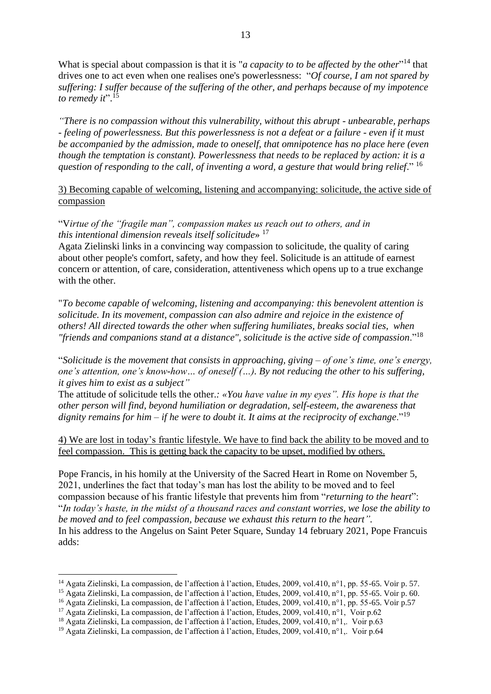What is special about compassion is that it is "*a capacity to to be affected by the other*<sup>"14</sup> that drives one to act even when one realises one's powerlessness: "*Of course, I am not spared by suffering: I suffer because of the suffering of the other, and perhaps because of my impotence to remedy it*". 15

*"There is no compassion without this vulnerability, without this abrupt - unbearable, perhaps - feeling of powerlessness. But this powerlessness is not a defeat or a failure - even if it must be accompanied by the admission, made to oneself, that omnipotence has no place here (even though the temptation is constant). Powerlessness that needs to be replaced by action: it is a question of responding to the call, of inventing a word, a gesture that would bring relief*." 16

3) Becoming capable of welcoming, listening and accompanying: solicitude, the active side of compassion

"V*irtue of the "fragile man", compassion makes us reach out to others, and in this intentional dimension reveals itself solicitude*» <sup>17</sup>

Agata Zielinski links in a convincing way compassion to solicitude, the quality of caring about other people's comfort, safety, and how they feel. Solicitude is an attitude of earnest concern or attention, of care, consideration, attentiveness which opens up to a true exchange with the other.

"*To become capable of welcoming, listening and accompanying: this benevolent attention is solicitude. In its movement, compassion can also admire and rejoice in the existence of others! All directed towards the other when suffering humiliates, breaks social ties, when "friends and companions stand at a distance", solicitude is the active side of compassion*."<sup>18</sup>

"*Solicitude is the movement that consists in approaching, giving – of one's time, one's energy, one's attention, one's know-how… of oneself (…). By not reducing the other to his suffering, it gives him to exist as a subject"*

The attitude of solicitude tells the other.*: «You have value in my eyes". His hope is that the other person will find, beyond humiliation or degradation, self-esteem, the awareness that dignity remains for him – if he were to doubt it. It aims at the reciprocity of exchange*."<sup>19</sup>

4) We are lost in today's frantic lifestyle. We have to find back the ability to be moved and to feel compassion. This is getting back the capacity to be upset, modified by others.

Pope Francis, in his homily at the University of the Sacred Heart in Rome on November 5, 2021, underlines the fact that today's man has lost the ability to be moved and to feel compassion because of his frantic lifestyle that prevents him from "*returning to the heart*": "*In today's haste, in the midst of a thousand races and constant worries, we lose the ability to be moved and to feel compassion, because we exhaust this return to the heart".*  In his address to the Angelus on Saint Peter Square, Sunday 14 february 2021, Pope Francuis adds:

<sup>14</sup> Agata Zielinski, La compassion, de l'affection à l'action, Etudes, 2009, vol.410, n°1, pp. 55-65. Voir p. 57.

<sup>15</sup> Agata Zielinski, La compassion, de l'affection à l'action, Etudes, 2009, vol.410, n°1, pp. 55-65. Voir p. 60.

<sup>16</sup> Agata Zielinski, La compassion, de l'affection à l'action, Etudes, 2009, vol.410, n°1, pp. 55-65. Voir p.57

<sup>&</sup>lt;sup>17</sup> Agata Zielinski, La compassion, de l'affection à l'action, Etudes, 2009, vol.410, n°1, Voir p.62

<sup>18</sup> Agata Zielinski, La compassion, de l'affection à l'action, Etudes, 2009, vol.410, n°1,. Voir p.63

<sup>&</sup>lt;sup>19</sup> Agata Zielinski, La compassion, de l'affection à l'action, Etudes, 2009, vol.410, n°1,. Voir p.64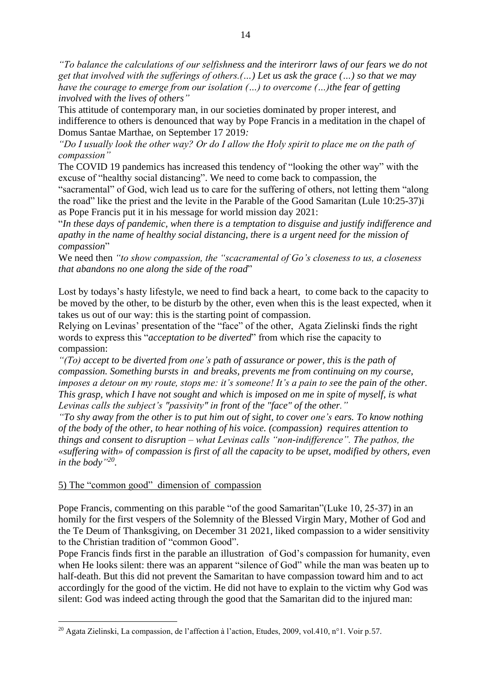*"To balance the calculations of our selfishness and the interirorr laws of our fears we do not get that involved with the sufferings of others.(…) Let us ask the grace (…) so that we may have the courage to emerge from our isolation (…) to overcome (…)the fear of getting involved with the lives of others"*

This attitude of contemporary man, in our societies dominated by proper interest, and indifference to others is denounced that way by Pope Francis in a meditation in the chapel of Domus Santae Marthae, on September 17 2019*:*

*"Do I usually look the other way? Or do I allow the Holy spirit to place me on the path of compassion"*

The COVID 19 pandemics has increased this tendency of "looking the other way" with the excuse of "healthy social distancing". We need to come back to compassion, the

"sacramental" of God, wich lead us to care for the suffering of others, not letting them "along the road" like the priest and the levite in the Parable of the Good Samaritan (Lule 10:25-37)i as Pope Francis put it in his message for world mission day 2021:

"*In these days of pandemic, when there is a temptation to disguise and justify indifference and apathy in the name of healthy social distancing, there is a urgent need for the mission of compassion*"

We need then *"to show compassion, the "scacramental of Go's closeness to us, a closeness that abandons no one along the side of the road*"

Lost by todays's hasty lifestyle, we need to find back a heart, to come back to the capacity to be moved by the other, to be disturb by the other, even when this is the least expected, when it takes us out of our way: this is the starting point of compassion.

Relying on Levinas' presentation of the "face" of the other, Agata Zielinski finds the right words to express this "*acceptation to be diverted*" from which rise the capacity to compassion:

*"(To) accept to be diverted from one's path of assurance or power, this is the path of compassion. Something bursts in and breaks, prevents me from continuing on my course, imposes a detour on my route, stops me: it's someone! It's a pain to see the pain of the other. This grasp, which I have not sought and which is imposed on me in spite of myself, is what Levinas calls the subject's "passivity" in front of the "face" of the other."*

*"To shy away from the other is to put him out of sight, to cover one's ears. To know nothing of the body of the other, to hear nothing of his voice. (compassion) requires attention to things and consent to disruption – what Levinas calls "non-indifference". The pathos, the «suffering with» of compassion is first of all the capacity to be upset, modified by others, even in the body" 20 .*

### 5) The "common good" dimension of compassion

Pope Francis, commenting on this parable "of the good Samaritan"(Luke 10, 25-37) in an homily for the first vespers of the Solemnity of the Blessed Virgin Mary, Mother of God and the Te Deum of Thanksgiving, on December 31 2021, liked compassion to a wider sensitivity to the Christian tradition of "common Good".

Pope Francis finds first in the parable an illustration of God's compassion for humanity, even when He looks silent: there was an apparent "silence of God" while the man was beaten up to half-death. But this did not prevent the Samaritan to have compassion toward him and to act accordingly for the good of the victim. He did not have to explain to the victim why God was silent: God was indeed acting through the good that the Samaritan did to the injured man:

<sup>20</sup> Agata Zielinski, La compassion, de l'affection à l'action, Etudes, 2009, vol.410, n°1. Voir p.57.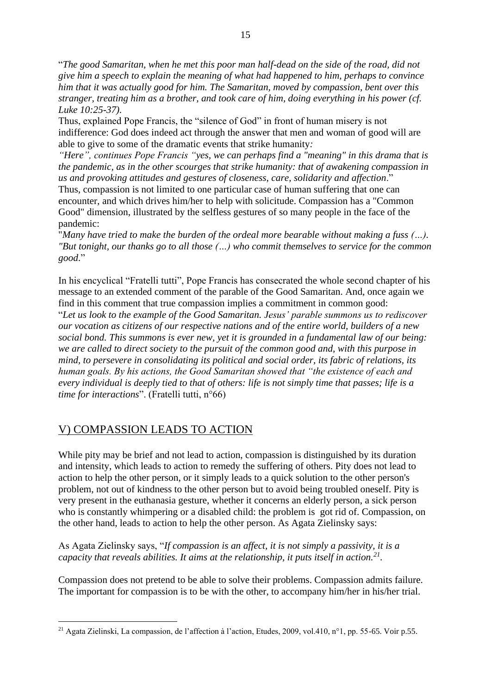"*The good Samaritan, when he met this poor man half-dead on the side of the road, did not give him a speech to explain the meaning of what had happened to him, perhaps to convince him that it was actually good for him. The Samaritan, moved by compassion, bent over this stranger, treating him as a brother, and took care of him, doing everything in his power (cf. Luke 10:25-37).*

Thus, explained Pope Francis, the "silence of God" in front of human misery is not indifference: God does indeed act through the answer that men and woman of good will are able to give to some of the dramatic events that strike humanity*:*

*"Here", continues Pope Francis "yes, we can perhaps find a "meaning" in this drama that is the pandemic, as in the other scourges that strike humanity: that of awakening compassion in us and provoking attitudes and gestures of closeness, care, solidarity and affection*."

Thus, compassion is not limited to one particular case of human suffering that one can encounter, and which drives him/her to help with solicitude. Compassion has a "Common Good" dimension, illustrated by the selfless gestures of so many people in the face of the pandemic:

"*Many have tried to make the burden of the ordeal more bearable without making a fuss (…). "But tonight, our thanks go to all those (…) who commit themselves to service for the common good*."

In his encyclical "Fratelli tutti", Pope Francis has consecrated the whole second chapter of his message to an extended comment of the parable of the Good Samaritan. And, once again we find in this comment that true compassion implies a commitment in common good:

"*Let us look to the example of the Good Samaritan. Jesus' parable summons us to rediscover our vocation as citizens of our respective nations and of the entire world, builders of a new social bond. This summons is ever new, yet it is grounded in a fundamental law of our being: we are called to direct society to the pursuit of the common good and, with this purpose in mind, to persevere in consolidating its political and social order, its fabric of relations, its human goals. By his actions, the Good Samaritan showed that "the existence of each and every individual is deeply tied to that of others: life is not simply time that passes; life is a time for interactions*". (Fratelli tutti, n°66)

# V) COMPASSION LEADS TO ACTION

While pity may be brief and not lead to action, compassion is distinguished by its duration and intensity, which leads to action to remedy the suffering of others. Pity does not lead to action to help the other person, or it simply leads to a quick solution to the other person's problem, not out of kindness to the other person but to avoid being troubled oneself. Pity is very present in the euthanasia gesture, whether it concerns an elderly person, a sick person who is constantly whimpering or a disabled child: the problem is got rid of. Compassion, on the other hand, leads to action to help the other person. As Agata Zielinsky says:

As Agata Zielinsky says, "*If compassion is an affect, it is not simply a passivity, it is a capacity that reveals abilities. It aims at the relationship, it puts itself in action.<sup>21</sup> .* 

Compassion does not pretend to be able to solve their problems. Compassion admits failure. The important for compassion is to be with the other, to accompany him/her in his/her trial.

<sup>21</sup> Agata Zielinski, La compassion, de l'affection à l'action, Etudes, 2009, vol.410, n°1, pp. 55-65. Voir p.55.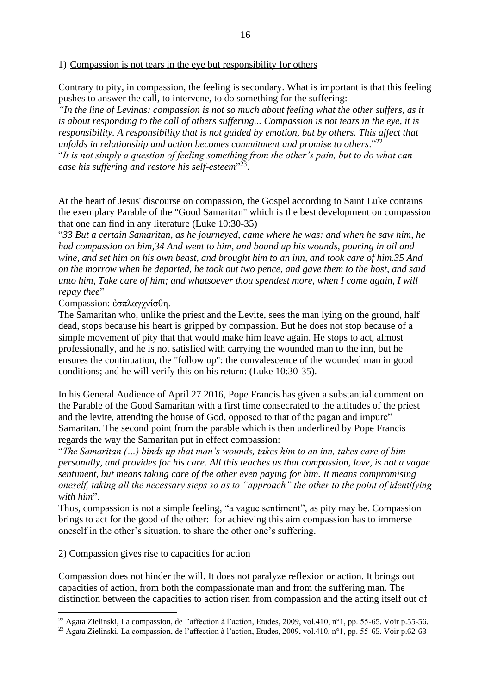1) Compassion is not tears in the eye but responsibility for others

Contrary to pity, in compassion, the feeling is secondary. What is important is that this feeling pushes to answer the call, to intervene, to do something for the suffering:

*"In the line of Levinas: compassion is not so much about feeling what the other suffers, as it is about responding to the call of others suffering... Compassion is not tears in the eye, it is responsibility. A responsibility that is not guided by emotion, but by others. This affect that unfolds in relationship and action becomes commitment and promise to others*."<sup>22</sup> "*It is not simply a question of feeling something from the other's pain, but to do what can*  ease his suffering and restore his self-esteem<sup>"23</sup>.

At the heart of Jesus' discourse on compassion, the Gospel according to Saint Luke contains the exemplary Parable of the "Good Samaritan" which is the best development on compassion that one can find in any literature (Luke 10:30-35)

"*33 But a certain Samaritan, as he journeyed, came where he was: and when he saw him, he had compassion on him,34 And went to him, and bound up his wounds, pouring in oil and wine, and set him on his own beast, and brought him to an inn, and took care of him.35 And on the morrow when he departed, he took out two pence, and gave them to the host, and said unto him, Take care of him; and whatsoever thou spendest more, when I come again, I will repay thee*"

Compassion: ἐσπλαγχνίσθη.

The Samaritan who, unlike the priest and the Levite, sees the man lying on the ground, half dead, stops because his heart is gripped by compassion. But he does not stop because of a simple movement of pity that that would make him leave again. He stops to act, almost professionally, and he is not satisfied with carrying the wounded man to the inn, but he ensures the continuation, the "follow up": the convalescence of the wounded man in good conditions; and he will verify this on his return: (Luke 10:30-35).

In his General Audience of April 27 2016, Pope Francis has given a substantial comment on the Parable of the Good Samaritan with a first time consecrated to the attitudes of the priest and the levite, attending the house of God, opposed to that of the pagan and impure" Samaritan. The second point from the parable which is then underlined by Pope Francis regards the way the Samaritan put in effect compassion:

"*The Samaritan (…) binds up that man's wounds, takes him to an inn, takes care of him personally, and provides for his care. All this teaches us that compassion, love, is not a vague sentiment, but means taking care of the other even paying for him. It means compromising oneself, taking all the necessary steps so as to "approach" the other to the point of identifying with him*".

Thus, compassion is not a simple feeling, "a vague sentiment", as pity may be. Compassion brings to act for the good of the other: for achieving this aim compassion has to immerse oneself in the other's situation, to share the other one's suffering.

#### 2) Compassion gives rise to capacities for action

Compassion does not hinder the will. It does not paralyze reflexion or action. It brings out capacities of action, from both the compassionate man and from the suffering man. The distinction between the capacities to action risen from compassion and the acting itself out of

<sup>&</sup>lt;sup>22</sup> Agata Zielinski, La compassion, de l'affection à l'action, Etudes, 2009, vol.410, n°1, pp. 55-65. Voir p.55-56.

<sup>&</sup>lt;sup>23</sup> Agata Zielinski, La compassion, de l'affection à l'action, Etudes, 2009, vol.410, n°1, pp. 55-65. Voir p.62-63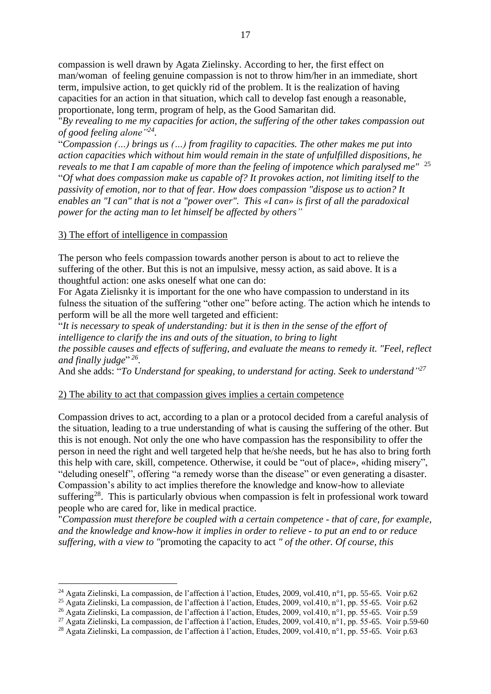compassion is well drawn by Agata Zielinsky. According to her, the first effect on man/woman of feeling genuine compassion is not to throw him/her in an immediate, short term, impulsive action, to get quickly rid of the problem. It is the realization of having capacities for an action in that situation, which call to develop fast enough a reasonable, proportionate, long term, program of help, as the Good Samaritan did.

"*By revealing to me my capacities for action, the suffering of the other takes compassion out of good feeling alone"<sup>24</sup> .* 

"*Compassion (…) brings us (…) from fragility to capacities. The other makes me put into action capacities which without him would remain in the state of unfulfilled dispositions, he reveals to me that I am capable of more than the feeling of impotence which paralysed me"* <sup>25</sup> "*Of what does compassion make us capable of? It provokes action, not limiting itself to the passivity of emotion, nor to that of fear. How does compassion "dispose us to action? It enables an "I can" that is not a "power over". This «I can» is first of all the paradoxical power for the acting man to let himself be affected by others"*

### 3) The effort of intelligence in compassion

The person who feels compassion towards another person is about to act to relieve the suffering of the other. But this is not an impulsive, messy action, as said above. It is a thoughtful action: one asks oneself what one can do:

For Agata Zielisnky it is important for the one who have compassion to understand in its fulness the situation of the suffering "other one" before acting. The action which he intends to perform will be all the more well targeted and efficient:

"*It is necessary to speak of understanding: but it is then in the sense of the effort of intelligence to clarify the ins and outs of the situation, to bring to light the possible causes and effects of suffering, and evaluate the means to remedy it. "Feel, reflect*  and finally judge"<sup>26</sup>.

And she adds: "*To Understand for speaking, to understand for acting. Seek to understand" 27*

### 2) The ability to act that compassion gives implies a certain competence

Compassion drives to act, according to a plan or a protocol decided from a careful analysis of the situation, leading to a true understanding of what is causing the suffering of the other. But this is not enough. Not only the one who have compassion has the responsibility to offer the person in need the right and well targeted help that he/she needs, but he has also to bring forth this help with care, skill, competence. Otherwise, it could be "out of place», «hiding misery", "deluding oneself", offering "a remedy worse than the disease" or even generating a disaster. Compassion's ability to act implies therefore the knowledge and know-how to alleviate suffering<sup>28</sup>. This is particularly obvious when compassion is felt in professional work toward people who are cared for, like in medical practice.

"*Compassion must therefore be coupled with a certain competence - that of care, for example, and the knowledge and know-how it implies in order to relieve - to put an end to or reduce suffering, with a view to "*promoting the capacity to act *" of the other. Of course, this* 

<sup>&</sup>lt;sup>24</sup> Agata Zielinski, La compassion, de l'affection à l'action, Etudes, 2009, vol.410, n°1, pp. 55-65. Voir p.62

<sup>25</sup> Agata Zielinski, La compassion, de l'affection à l'action, Etudes, 2009, vol.410, n°1, pp. 55-65. Voir p.62

<sup>26</sup> Agata Zielinski, La compassion, de l'affection à l'action, Etudes, 2009, vol.410, n°1, pp. 55-65. Voir p.59

<sup>&</sup>lt;sup>27</sup> Agata Zielinski, La compassion, de l'affection à l'action, Etudes, 2009, vol.410, n°1, pp. 55-65. Voir p.59-60

<sup>28</sup> Agata Zielinski, La compassion, de l'affection à l'action, Etudes, 2009, vol.410, n°1, pp. 55-65. Voir p.63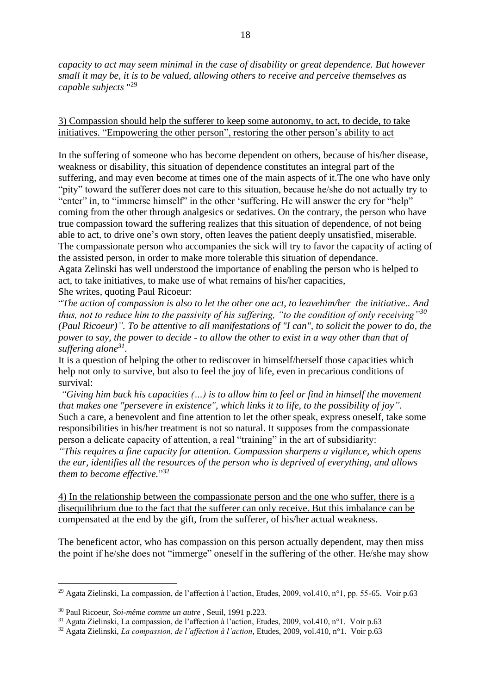*capacity to act may seem minimal in the case of disability or great dependence. But however small it may be, it is to be valued, allowing others to receive and perceive themselves as capable subjects* " 29

3) Compassion should help the sufferer to keep some autonomy, to act, to decide, to take initiatives. "Empowering the other person", restoring the other person's ability to act

In the suffering of someone who has become dependent on others, because of his/her disease, weakness or disability, this situation of dependence constitutes an integral part of the suffering, and may even become at times one of the main aspects of it.The one who have only "pity" toward the sufferer does not care to this situation, because he/she do not actually try to "enter" in, to "immerse himself" in the other 'suffering. He will answer the cry for "help" coming from the other through analgesics or sedatives. On the contrary, the person who have true compassion toward the suffering realizes that this situation of dependence, of not being able to act, to drive one's own story, often leaves the patient deeply unsatisfied, miserable. The compassionate person who accompanies the sick will try to favor the capacity of acting of the assisted person, in order to make more tolerable this situation of dependance. Agata Zelinski has well understood the importance of enabling the person who is helped to act, to take initiatives, to make use of what remains of his/her capacities, She writes, quoting Paul Ricoeur:

"*The action of compassion is also to let the other one act, to leavehim/her the initiative.. And thus, not to reduce him to the passivity of his suffering, "to the condition of only receiving"<sup>30</sup> (Paul Ricoeur)". To be attentive to all manifestations of "I can", to solicit the power to do, the power to say, the power to decide - to allow the other to exist in a way other than that of suffering alone<sup>31</sup> .* 

It is a question of helping the other to rediscover in himself/herself those capacities which help not only to survive, but also to feel the joy of life, even in precarious conditions of survival:

*"Giving him back his capacities (…) is to allow him to feel or find in himself the movement that makes one "persevere in existence", which links it to life, to the possibility of joy".* Such a care, a benevolent and fine attention to let the other speak, express oneself, take some responsibilities in his/her treatment is not so natural. It supposes from the compassionate person a delicate capacity of attention, a real "training" in the art of subsidiarity:

*"This requires a fine capacity for attention. Compassion sharpens a vigilance, which opens the ear, identifies all the resources of the person who is deprived of everything, and allows them to become effective.*" 32

4) In the relationship between the compassionate person and the one who suffer, there is a disequilibrium due to the fact that the sufferer can only receive. But this imbalance can be compensated at the end by the gift, from the sufferer, of his/her actual weakness.

The beneficent actor, who has compassion on this person actually dependent, may then miss the point if he/she does not "immerge" oneself in the suffering of the other. He/she may show

<sup>&</sup>lt;sup>29</sup> Agata Zielinski, La compassion, de l'affection à l'action, Etudes, 2009, vol.410, n°1, pp. 55-65. Voir p.63

<sup>30</sup> Paul Ricoeur, *Soi-même comme un autre* , Seuil, 1991 p.223.

<sup>31</sup> Agata Zielinski, La compassion, de l'affection à l'action, Etudes, 2009, vol.410, n°1. Voir p.63

<sup>32</sup> Agata Zielinski, *La compassion, de l'affection à l'action*, Etudes, 2009, vol.410, n°1. Voir p.63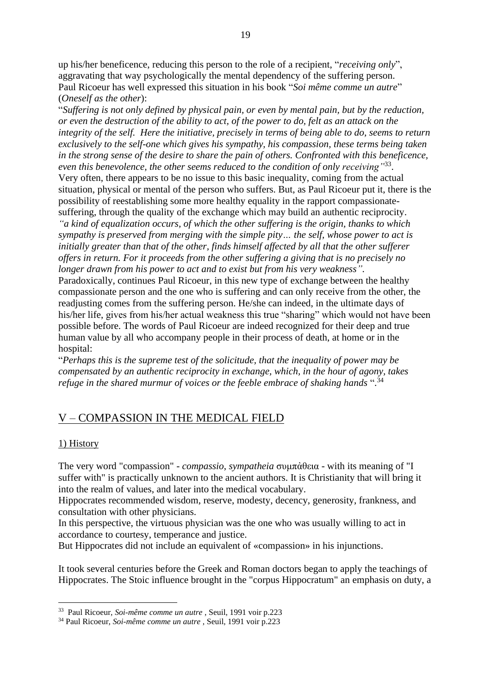up his/her beneficence, reducing this person to the role of a recipient, "*receiving only*", aggravating that way psychologically the mental dependency of the suffering person. Paul Ricoeur has well expressed this situation in his book "*Soi même comme un autre*" (*Oneself as the other*):

"*Suffering is not only defined by physical pain, or even by mental pain, but by the reduction, or even the destruction of the ability to act, of the power to do, felt as an attack on the integrity of the self. Here the initiative, precisely in terms of being able to do, seems to return exclusively to the self-one which gives his sympathy, his compassion, these terms being taken in the strong sense of the desire to share the pain of others. Confronted with this beneficence,*  even this benevolence, the other seems reduced to the condition of only receiving<sup>"33</sup>. Very often, there appears to be no issue to this basic inequality, coming from the actual situation, physical or mental of the person who suffers. But, as Paul Ricoeur put it, there is the possibility of reestablishing some more healthy equality in the rapport compassionatesuffering, through the quality of the exchange which may build an authentic reciprocity. *"a kind of equalization occurs, of which the other suffering is the origin, thanks to which sympathy is preserved from merging with the simple pity… the self, whose power to act is initially greater than that of the other, finds himself affected by all that the other sufferer offers in return. For it proceeds from the other suffering a giving that is no precisely no longer drawn from his power to act and to exist but from his very weakness".*

Paradoxically, continues Paul Ricoeur, in this new type of exchange between the healthy compassionate person and the one who is suffering and can only receive from the other, the readjusting comes from the suffering person. He/she can indeed, in the ultimate days of his/her life, gives from his/her actual weakness this true "sharing" which would not have been possible before. The words of Paul Ricoeur are indeed recognized for their deep and true human value by all who accompany people in their process of death, at home or in the hospital:

"*Perhaps this is the supreme test of the solicitude, that the inequality of power may be compensated by an authentic reciprocity in exchange, which, in the hour of agony, takes refuge in the shared murmur of voices or the feeble embrace of shaking hands* ". 34

# V – COMPASSION IN THE MEDICAL FIELD

### 1) History

The very word "compassion" - *compassio*, *sympatheia* συμπἀθεια - with its meaning of "I suffer with" is practically unknown to the ancient authors. It is Christianity that will bring it into the realm of values, and later into the medical vocabulary.

Hippocrates recommended wisdom, reserve, modesty, decency, generosity, frankness, and consultation with other physicians.

In this perspective, the virtuous physician was the one who was usually willing to act in accordance to courtesy, temperance and justice.

But Hippocrates did not include an equivalent of «compassion» in his injunctions.

It took several centuries before the Greek and Roman doctors began to apply the teachings of Hippocrates. The Stoic influence brought in the "corpus Hippocratum" an emphasis on duty, a

<sup>33</sup> Paul Ricoeur, *Soi-même comme un autre* , Seuil, 1991 voir p.223

<sup>34</sup> Paul Ricoeur, *Soi-même comme un autre* , Seuil, 1991 voir p.223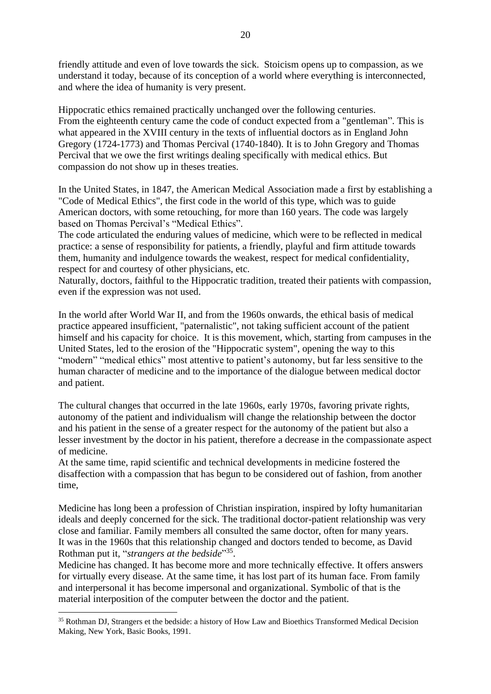friendly attitude and even of love towards the sick. Stoicism opens up to compassion, as we understand it today, because of its conception of a world where everything is interconnected, and where the idea of humanity is very present.

Hippocratic ethics remained practically unchanged over the following centuries. From the eighteenth century came the code of conduct expected from a "gentleman". This is what appeared in the XVIII century in the texts of influential doctors as in England John Gregory (1724-1773) and Thomas Percival (1740-1840). It is to John Gregory and Thomas Percival that we owe the first writings dealing specifically with medical ethics. But compassion do not show up in theses treaties.

In the United States, in 1847, the American Medical Association made a first by establishing a "Code of Medical Ethics", the first code in the world of this type, which was to guide American doctors, with some retouching, for more than 160 years. The code was largely based on Thomas Percival's "Medical Ethics".

The code articulated the enduring values of medicine, which were to be reflected in medical practice: a sense of responsibility for patients, a friendly, playful and firm attitude towards them, humanity and indulgence towards the weakest, respect for medical confidentiality, respect for and courtesy of other physicians, etc.

Naturally, doctors, faithful to the Hippocratic tradition, treated their patients with compassion, even if the expression was not used.

In the world after World War II, and from the 1960s onwards, the ethical basis of medical practice appeared insufficient, "paternalistic", not taking sufficient account of the patient himself and his capacity for choice. It is this movement, which, starting from campuses in the United States, led to the erosion of the "Hippocratic system", opening the way to this "modern" "medical ethics" most attentive to patient's autonomy, but far less sensitive to the human character of medicine and to the importance of the dialogue between medical doctor and patient.

The cultural changes that occurred in the late 1960s, early 1970s, favoring private rights, autonomy of the patient and individualism will change the relationship between the doctor and his patient in the sense of a greater respect for the autonomy of the patient but also a lesser investment by the doctor in his patient, therefore a decrease in the compassionate aspect of medicine.

At the same time, rapid scientific and technical developments in medicine fostered the disaffection with a compassion that has begun to be considered out of fashion, from another time,

Medicine has long been a profession of Christian inspiration, inspired by lofty humanitarian ideals and deeply concerned for the sick. The traditional doctor-patient relationship was very close and familiar. Family members all consulted the same doctor, often for many years. It was in the 1960s that this relationship changed and doctors tended to become, as David Rothman put it, "*strangers at the bedside*"<sup>35</sup>.

Medicine has changed. It has become more and more technically effective. It offers answers for virtually every disease. At the same time, it has lost part of its human face. From family and interpersonal it has become impersonal and organizational. Symbolic of that is the material interposition of the computer between the doctor and the patient.

<sup>&</sup>lt;sup>35</sup> Rothman DJ, Strangers et the bedside: a history of How Law and Bioethics Transformed Medical Decision Making, New York, Basic Books, 1991.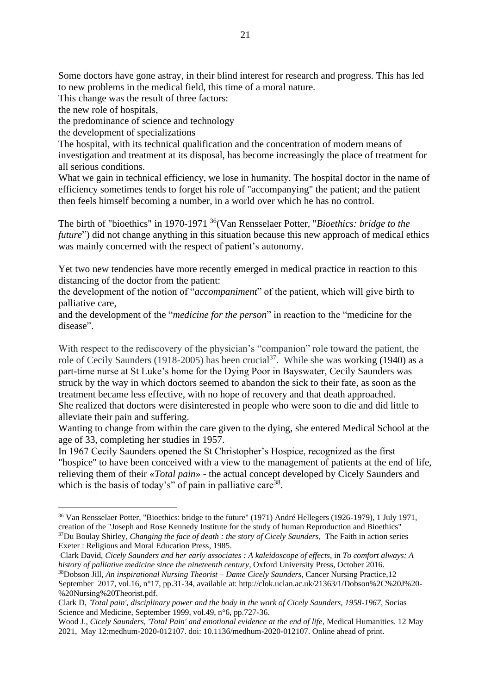Some doctors have gone astray, in their blind interest for research and progress. This has led to new problems in the medical field, this time of a moral nature.

This change was the result of three factors:

the new role of hospitals,

the predominance of science and technology

the development of specializations

The hospital, with its technical qualification and the concentration of modern means of investigation and treatment at its disposal, has become increasingly the place of treatment for all serious conditions.

What we gain in technical efficiency, we lose in humanity. The hospital doctor in the name of efficiency sometimes tends to forget his role of "accompanying" the patient; and the patient then feels himself becoming a number, in a world over which he has no control.

The birth of "bioethics" in 1970-1971 <sup>36</sup>(Van Rensselaer Potter, "*Bioethics: bridge to the future*") did not change anything in this situation because this new approach of medical ethics was mainly concerned with the respect of patient's autonomy.

Yet two new tendencies have more recently emerged in medical practice in reaction to this distancing of the doctor from the patient:

the development of the notion of "*accompaniment*" of the patient, which will give birth to palliative care,

and the development of the "*medicine for the person*" in reaction to the "medicine for the disease".

With respect to the rediscovery of the physician's "companion" role toward the patient, the role of Cecily Saunders (1918-2005) has been crucial<sup>37</sup>. While she was working (1940) as a part-time nurse at St Luke's home for the Dying Poor in Bayswater, Cecily Saunders was struck by the way in which doctors seemed to abandon the sick to their fate, as soon as the treatment became less effective, with no hope of recovery and that death approached. She realized that doctors were disinterested in people who were soon to die and did little to alleviate their pain and suffering.

Wanting to change from within the care given to the dying, she entered Medical School at the age of 33, completing her studies in 1957.

In 1967 Cecily Saunders opened the St Christopher's Hospice, recognized as the first "hospice" to have been conceived with a view to the management of patients at the end of life, relieving them of their «*Total pain*» - the actual concept developed by Cicely Saunders and which is the basis of today's" of pain in palliative care<sup>38</sup>.

<sup>38</sup>Dobson Jill, *An inspirational Nursing Theorist – Dame Cicely Saunders*, Cancer Nursing Practice,12 September 2017, vol.16, n°17, pp.31-34, available at: http://clok.uclan.ac.uk/21363/1/Dobson%2C%20J%20- %20Nursing%20Theorist.pdf.

<sup>36</sup> Van Rensselaer Potter, "Bioethics: bridge to the future" (1971) André Hellegers (1926-1979), 1 July 1971, creation of the "Joseph and Rose Kennedy Institute for the study of human Reproduction and Bioethics" <sup>37</sup>Du Boulay Shirley, *Changing the face of death : the story of Cicely Saunders*, The Faith in action series Exeter : Religious and Moral Education Press, 1985.

Clark David, *Cicely Saunders and her early associates : A kaleidoscope of effects*, in *To comfort always: A history of palliative medicine since the nineteenth century*, Oxford University Press, October 2016.

Clark D, *'Total pain', disciplinary power and the body in the work of Cicely Saunders, 1958-1967*, Socias Science and Medicine, September 1999, vol.49, n°6, pp.727-36.

Wood J., *Cicely Saunders, 'Total Pain' and emotional evidence at the end of life*, Medical Humanities. 12 Mav 2021, May 12:medhum-2020-012107. doi: 10.1136/medhum-2020-012107. Online ahead of print.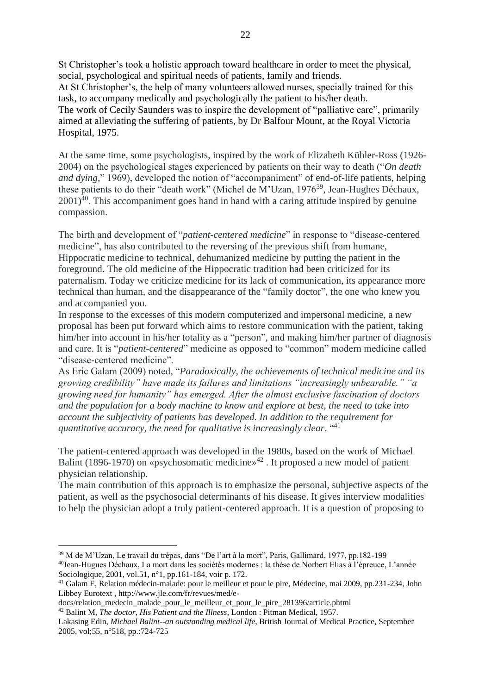St Christopher's took a holistic approach toward healthcare in order to meet the physical, social, psychological and spiritual needs of patients, family and friends. At St Christopher's, the help of many volunteers allowed nurses, specially trained for this task, to accompany medically and psychologically the patient to his/her death. The work of Cecily Saunders was to inspire the development of "palliative care", primarily aimed at alleviating the suffering of patients, by Dr Balfour Mount, at the Royal Victoria Hospital, 1975.

At the same time, some psychologists, inspired by the work of Elizabeth Kübler-Ross (1926- 2004) on the psychological stages experienced by patients on their way to death ("*On death and dying,*" 1969), developed the notion of "accompaniment" of end-of-life patients, helping these patients to do their "death work" (Michel de M'Uzan, 1976<sup>39</sup>, Jean-Hughes Déchaux,  $2001<sup>40</sup>$ . This accompaniment goes hand in hand with a caring attitude inspired by genuine compassion.

The birth and development of "*patient-centered medicine*" in response to "disease-centered medicine", has also contributed to the reversing of the previous shift from humane, Hippocratic medicine to technical, dehumanized medicine by putting the patient in the foreground. The old medicine of the Hippocratic tradition had been criticized for its paternalism. Today we criticize medicine for its lack of communication, its appearance more technical than human, and the disappearance of the "family doctor", the one who knew you and accompanied you.

In response to the excesses of this modern computerized and impersonal medicine, a new proposal has been put forward which aims to restore communication with the patient, taking him/her into account in his/her totality as a "person", and making him/her partner of diagnosis and care. It is "*patient-centered*" medicine as opposed to "common" modern medicine called "disease-centered medicine".

As Eric Galam (2009) noted, "*Paradoxically, the achievements of technical medicine and its growing credibility" have made its failures and limitations "increasingly unbearable." "a growing need for humanity" has emerged. After the almost exclusive fascination of doctors and the population for a body machine to know and explore at best, the need to take into account the subjectivity of patients has developed. In addition to the requirement for quantitative accuracy, the need for qualitative is increasingly clear*. " 41

The patient-centered approach was developed in the 1980s, based on the work of Michael Balint (1896-1970) on «psychosomatic medicine»<sup>42</sup>. It proposed a new model of patient physician relationship.

The main contribution of this approach is to emphasize the personal, subjective aspects of the patient, as well as the psychosocial determinants of his disease. It gives interview modalities to help the physician adopt a truly patient-centered approach. It is a question of proposing to

docs/relation\_medecin\_malade\_pour\_le\_meilleur\_et\_pour\_le\_pire\_281396/article.phtml <sup>42</sup> Balint M, *The doctor, His Patient and the Illness*, London : Pitman Medical, 1957.

<sup>39</sup> M de M'Uzan, Le travail du trépas, dans "De l'art à la mort", Paris, Gallimard, 1977, pp.182-199 <sup>40</sup>Jean-Hugues Déchaux, La mort dans les sociétés modernes : la thèse de Norbert Elias à l'épreuce, L'année Sociologique, 2001, vol.51, n°1, pp.161-184, voir p. 172.

<sup>41</sup> Galam E, Relation médecin-malade: pour le meilleur et pour le pire, Médecine, mai 2009, pp.231-234, John Libbey Eurotext , http://www.jle.com/fr/revues/med/e-

Lakasing Edin, *Michael Balint--an outstanding medical life*, British Journal of Medical Practice, September 2005, vol;55, n°518, pp.:724-725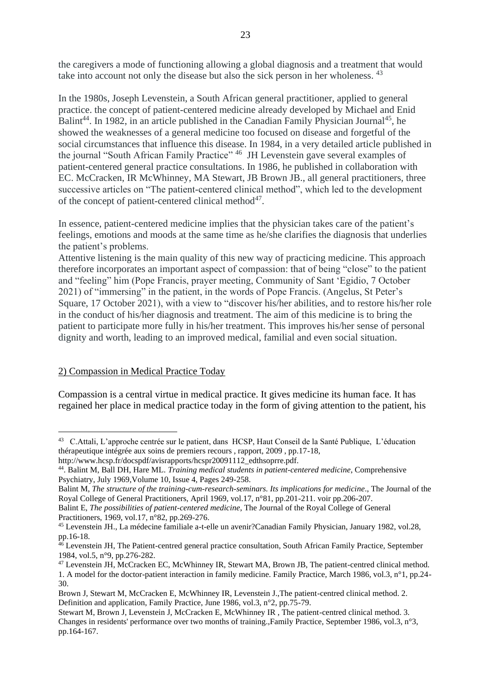the caregivers a mode of functioning allowing a global diagnosis and a treatment that would take into account not only the disease but also the sick person in her wholeness. <sup>43</sup>

In the 1980s, Joseph Levenstein, a South African general practitioner, applied to general practice. the concept of patient-centered medicine already developed by Michael and Enid Balint<sup>44</sup>. In 1982, in an article published in the Canadian Family Physician Journal<sup>45</sup>, he showed the weaknesses of a general medicine too focused on disease and forgetful of the social circumstances that influence this disease. In 1984, in a very detailed article published in the journal "South African Family Practice" <sup>46</sup> JH Levenstein gave several examples of patient-centered general practice consultations. In 1986, he published in collaboration with EC. McCracken, IR McWhinney, MA Stewart, JB Brown JB., all general practitioners, three successive articles on "The patient-centered clinical method", which led to the development of the concept of patient-centered clinical method $47$ .

In essence, patient-centered medicine implies that the physician takes care of the patient's feelings, emotions and moods at the same time as he/she clarifies the diagnosis that underlies the patient's problems.

Attentive listening is the main quality of this new way of practicing medicine. This approach therefore incorporates an important aspect of compassion: that of being "close" to the patient and "feeling" him (Pope Francis, prayer meeting, Community of Sant 'Egidio, 7 October 2021) of "immersing" in the patient, in the words of Pope Francis. (Angelus, St Peter's Square, 17 October 2021), with a view to "discover his/her abilities, and to restore his/her role in the conduct of his/her diagnosis and treatment. The aim of this medicine is to bring the patient to participate more fully in his/her treatment. This improves his/her sense of personal dignity and worth, leading to an improved medical, familial and even social situation.

### 2) Compassion in Medical Practice Today

Compassion is a central virtue in medical practice. It gives medicine its human face. It has regained her place in medical practice today in the form of giving attention to the patient, his

Balint M, *The structure of the training-cum-research-seminars. Its implications for medicine*., The Journal of the Royal College of General Practitioners, April 1969, vol.17, n°81, pp.201-211. voir pp.206-207.

<sup>&</sup>lt;sup>43</sup> C.Attali, L'approche centrée sur le patient, dans HCSP, Haut Conseil de la Santé Publique, L'éducation thérapeutique intégrée aux soins de premiers recours , rapport, 2009 , pp.17-18,

http://www.hcsp.fr/docspdf/avisrapports/hcspr20091112\_edthsoprre.pdf.

<sup>44</sup>. Balint M, Ball DH, Hare ML. *Training medical students in patient-centered medicine*, Comprehensive Psychiatry, July 1969,Volume 10, Issue 4, Pages 249-258.

Balint E, *The possibilities of patient-centered medicine*, The Journal of the Royal College of General Practitioners, 1969, vol.17, n°82, pp.269-276.

<sup>45</sup> Levenstein JH., La médecine familiale a-t-elle un avenir?Canadian Family Physician, January 1982, vol.28, pp.16-18.

<sup>46</sup> Levenstein JH, The Patient-centred general practice consultation, South African Family Practice, September 1984, vol.5, n°9, pp.276-282.

<sup>47</sup> Levenstein JH, McCracken EC, McWhinney IR, Stewart MA, Brown JB, The patient-centred clinical method. 1. A model for the doctor-patient interaction in family medicine. Family Practice, March 1986, vol.3, n°1, pp.24- 30.

Brown J, Stewart M, McCracken E, McWhinney IR, Levenstein J.,The patient-centred clinical method. 2. Definition and application, Family Practice, June 1986, vol.3, n°2, pp.75-79.

Stewart M, Brown J, Levenstein J, McCracken E, McWhinney IR , The patient-centred clinical method. 3. Changes in residents' performance over two months of training.,Family Practice, September 1986, vol.3, n°3, pp.164-167.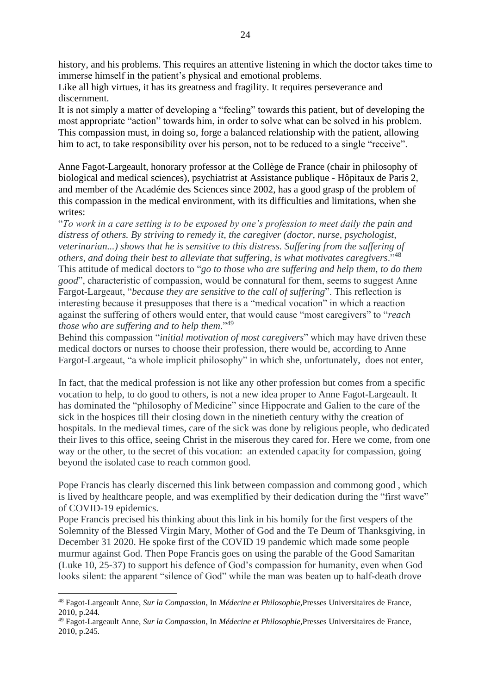history, and his problems. This requires an attentive listening in which the doctor takes time to immerse himself in the patient's physical and emotional problems.

Like all high virtues, it has its greatness and fragility. It requires perseverance and discernment.

It is not simply a matter of developing a "feeling" towards this patient, but of developing the most appropriate "action" towards him, in order to solve what can be solved in his problem. This compassion must, in doing so, forge a balanced relationship with the patient, allowing him to act, to take responsibility over his person, not to be reduced to a single "receive".

Anne Fagot-Largeault, honorary professor at the Collège de France (chair in philosophy of biological and medical sciences), psychiatrist at Assistance publique - Hôpitaux de Paris 2, and member of the Académie des Sciences since 2002, has a good grasp of the problem of this compassion in the medical environment, with its difficulties and limitations, when she writes:

"*To work in a care setting is to be exposed by one's profession to meet daily the pain and distress of others. By striving to remedy it, the caregiver (doctor, nurse, psychologist, veterinarian...) shows that he is sensitive to this distress. Suffering from the suffering of others, and doing their best to alleviate that suffering, is what motivates caregivers*."<sup>48</sup> This attitude of medical doctors to "*go to those who are suffering and help them, to do them good*", characteristic of compassion, would be connatural for them, seems to suggest Anne Fargot-Largeaut, "*because they are sensitive to the call of suffering*". This reflection is interesting because it presupposes that there is a "medical vocation" in which a reaction against the suffering of others would enter, that would cause "most caregivers" to "*reach those who are suffering and to help them.*"<sup>49</sup>

Behind this compassion "*initial motivation of most caregivers*" which may have driven these medical doctors or nurses to choose their profession, there would be, according to Anne Fargot-Largeaut, "a whole implicit philosophy" in which she, unfortunately, does not enter,

In fact, that the medical profession is not like any other profession but comes from a specific vocation to help, to do good to others, is not a new idea proper to Anne Fagot-Largeault. It has dominated the "philosophy of Medicine" since Hippocrate and Galien to the care of the sick in the hospices till their closing down in the ninetieth century withy the creation of hospitals. In the medieval times, care of the sick was done by religious people, who dedicated their lives to this office, seeing Christ in the miserous they cared for. Here we come, from one way or the other, to the secret of this vocation: an extended capacity for compassion, going beyond the isolated case to reach common good.

Pope Francis has clearly discerned this link between compassion and commong good , which is lived by healthcare people, and was exemplified by their dedication during the "first wave" of COVID-19 epidemics.

Pope Francis precised his thinking about this link in his homily for the first vespers of the Solemnity of the Blessed Virgin Mary, Mother of God and the Te Deum of Thanksgiving, in December 31 2020. He spoke first of the COVID 19 pandemic which made some people murmur against God. Then Pope Francis goes on using the parable of the Good Samaritan (Luke 10, 25-37) to support his defence of God's compassion for humanity, even when God looks silent: the apparent "silence of God" while the man was beaten up to half-death drove

<sup>48</sup> Fagot-Largeault Anne, *Sur la Compassion*, In *Médecine et Philosophie*,Presses Universitaires de France, 2010, p.244.

<sup>49</sup> Fagot-Largeault Anne, *Sur la Compassion*, In *Médecine et Philosophie*,Presses Universitaires de France, 2010, p.245.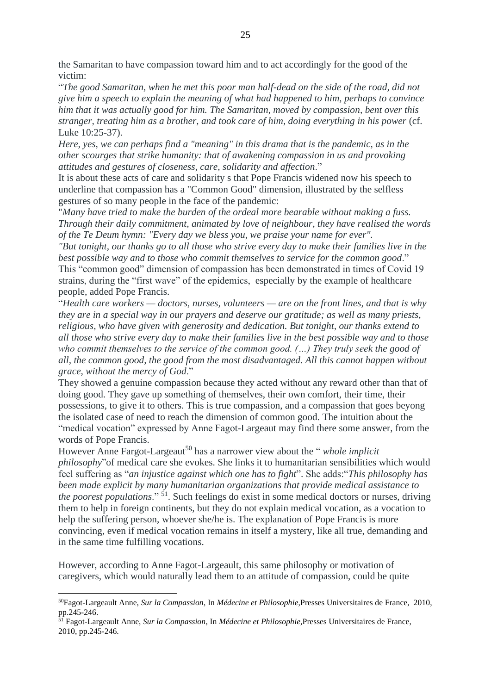the Samaritan to have compassion toward him and to act accordingly for the good of the victim:

"*The good Samaritan, when he met this poor man half-dead on the side of the road, did not give him a speech to explain the meaning of what had happened to him, perhaps to convince him that it was actually good for him. The Samaritan, moved by compassion, bent over this stranger, treating him as a brother, and took care of him, doing everything in his power* (cf. Luke 10:25-37).

*Here, yes, we can perhaps find a "meaning" in this drama that is the pandemic, as in the other scourges that strike humanity: that of awakening compassion in us and provoking attitudes and gestures of closeness, care, solidarity and affection*."

It is about these acts of care and solidarity s that Pope Francis widened now his speech to underline that compassion has a "Common Good" dimension, illustrated by the selfless gestures of so many people in the face of the pandemic:

"*Many have tried to make the burden of the ordeal more bearable without making a fuss. Through their daily commitment, animated by love of neighbour, they have realised the words of the Te Deum hymn: "Every day we bless you, we praise your name for ever".* 

*"But tonight, our thanks go to all those who strive every day to make their families live in the best possible way and to those who commit themselves to service for the common good*." This "common good" dimension of compassion has been demonstrated in times of Covid 19 strains, during the "first wave" of the epidemics, especially by the example of healthcare people, added Pope Francis.

"*Health care workers — doctors, nurses, volunteers — are on the front lines, and that is why they are in a special way in our prayers and deserve our gratitude; as well as many priests, religious, who have given with generosity and dedication. But tonight, our thanks extend to all those who strive every day to make their families live in the best possible way and to those who commit themselves to the service of the common good. (…) They truly seek the good of all, the common good, the good from the most disadvantaged. All this cannot happen without grace, without the mercy of God*."

They showed a genuine compassion because they acted without any reward other than that of doing good. They gave up something of themselves, their own comfort, their time, their possessions, to give it to others. This is true compassion, and a compassion that goes beyong the isolated case of need to reach the dimension of common good. The intuition about the "medical vocation" expressed by Anne Fagot-Largeaut may find there some answer, from the words of Pope Francis.

However Anne Fargot-Largeaut<sup>50</sup> has a narrower view about the "*whole implicit philosophy*"of medical care she evokes. She links it to humanitarian sensibilities which would feel suffering as "*an injustice against which one has to fight*". She adds:"*This philosophy has been made explicit by many humanitarian organizations that provide medical assistance to the poorest populations*." <sup>51</sup>. Such feelings do exist in some medical doctors or nurses, driving them to help in foreign continents, but they do not explain medical vocation, as a vocation to help the suffering person, whoever she/he is. The explanation of Pope Francis is more convincing, even if medical vocation remains in itself a mystery, like all true, demanding and in the same time fulfilling vocations.

However, according to Anne Fagot-Largeault, this same philosophy or motivation of caregivers, which would naturally lead them to an attitude of compassion, could be quite

<sup>50</sup>Fagot-Largeault Anne, *Sur la Compassion*, In *Médecine et Philosophie*,Presses Universitaires de France, 2010, pp.245-246.

<sup>51</sup> Fagot-Largeault Anne, *Sur la Compassion*, In *Médecine et Philosophie*,Presses Universitaires de France, 2010, pp.245-246.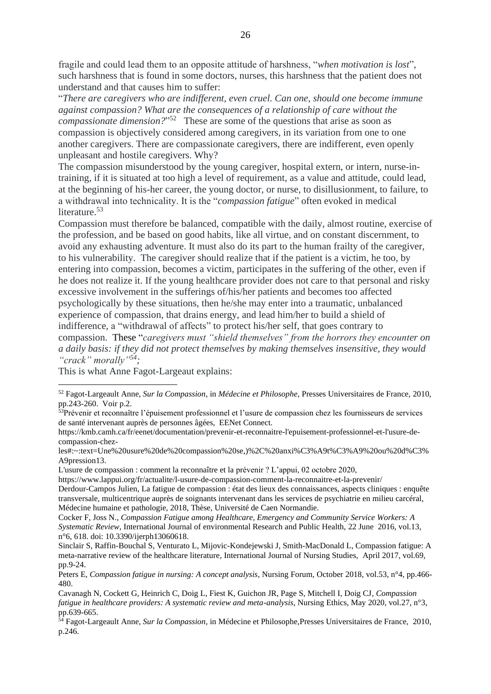fragile and could lead them to an opposite attitude of harshness, "*when motivation is lost*", such harshness that is found in some doctors, nurses, this harshness that the patient does not understand and that causes him to suffer:

"*There are caregivers who are indifferent, even cruel. Can one, should one become immune against compassion? What are the consequences of a relationship of care without the compassionate dimension?*" 52 These are some of the questions that arise as soon as compassion is objectively considered among caregivers, in its variation from one to one another caregivers. There are compassionate caregivers, there are indifferent, even openly unpleasant and hostile caregivers. Why?

The compassion misunderstood by the young caregiver, hospital extern, or intern, nurse-intraining, if it is situated at too high a level of requirement, as a value and attitude, could lead, at the beginning of his-her career, the young doctor, or nurse, to disillusionment, to failure, to a withdrawal into technicality. It is the "*compassion fatigue*" often evoked in medical literature. 53

Compassion must therefore be balanced, compatible with the daily, almost routine, exercise of the profession, and be based on good habits, like all virtue, and on constant discernment, to avoid any exhausting adventure. It must also do its part to the human frailty of the caregiver, to his vulnerability. The caregiver should realize that if the patient is a victim, he too, by entering into compassion, becomes a victim, participates in the suffering of the other, even if he does not realize it. If the young healthcare provider does not care to that personal and risky excessive involvement in the sufferings of/his/her patients and becomes too affected psychologically by these situations, then he/she may enter into a traumatic, unbalanced experience of compassion, that drains energy, and lead him/her to build a shield of indifference, a "withdrawal of affects" to protect his/her self, that goes contrary to compassion. These "*caregivers must "shield themselves" from the horrors they encounter on a daily basis: if they did not protect themselves by making themselves insensitive, they would "crack" morally" 54;*

This is what Anne Fagot-Largeaut explains:

L'usure de compassion : comment la reconnaître et la prévenir ? L'appui, 02 octobre 2020,

https://www.lappui.org/fr/actualite/l-usure-de-compassion-comment-la-reconnaitre-et-la-prevenir/ Derdour-Campos Julien, La fatigue de compassion : état des lieux des connaissances, aspects cliniques : enquête transversale, multicentrique auprès de soignants intervenant dans les services de psychiatrie en milieu carcéral, Médecine humaine et pathologie, 2018, Thèse, Université de Caen Normandie.

Cocker F, Joss N., *Compassion Fatigue among Healthcare, Emergency and Community Service Workers: A Systematic Review*, International Journal of environmental Research and Public Health, 22 June 2016, vol.13, n°6, 618. doi: 10.3390/ijerph13060618.

<sup>52</sup> Fagot-Largeault Anne, *Sur la Compassion*, in *Médecine et Philosophe*, Presses Universitaires de France, 2010, pp.243-260. Voir p.2.

<sup>&</sup>lt;sup>53</sup>Prévenir et reconnaître l'épuisement professionnel et l'usure de compassion chez les fournisseurs de services de santé intervenant auprès de personnes âgées, EENet Connect.

https://kmb.camh.ca/fr/eenet/documentation/prevenir-et-reconnaitre-l'epuisement-professionnel-et-l'usure-decompassion-chez-

les#:~:text=Une%20usure%20de%20compassion%20se,)%2C%20anxi%C3%A9t%C3%A9%20ou%20d%C3% A9pression13.

Sinclair S, Raffin-Bouchal S, Venturato L, Mijovic-Kondejewski J, Smith-MacDonald L, Compassion fatigue: A meta-narrative review of the healthcare literature, International Journal of Nursing Studies, April 2017, vol.69, pp.9-24.

Peters E, *Compassion fatigue in nursing: A concept analysis*, Nursing Forum, October 2018, vol.53, n°4, pp.466- 480.

Cavanagh N, Cockett G, Heinrich C, Doig L, Fiest K, Guichon JR, Page S, Mitchell I, Doig CJ, *Compassion fatigue in healthcare providers: A systematic review and meta-analysis*, Nursing Ethics, May 2020, vol.27, n°3, pp.639-665.

<sup>54</sup> Fagot-Largeault Anne, *Sur la Compassion*, in Médecine et Philosophe,Presses Universitaires de France, 2010, p.246.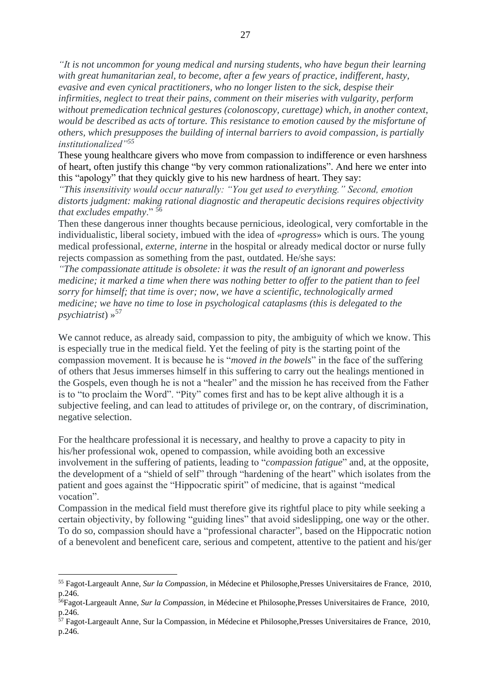*"It is not uncommon for young medical and nursing students, who have begun their learning with great humanitarian zeal, to become, after a few years of practice, indifferent, hasty, evasive and even cynical practitioners, who no longer listen to the sick, despise their infirmities, neglect to treat their pains, comment on their miseries with vulgarity, perform without premedication technical gestures (colonoscopy, curettage) which, in another context, would be described as acts of torture. This resistance to emotion caused by the misfortune of others, which presupposes the building of internal barriers to avoid compassion, is partially institutionalized"<sup>55</sup>*

These young healthcare givers who move from compassion to indifference or even harshness of heart, often justify this change "by very common rationalizations". And here we enter into this "apology" that they quickly give to his new hardness of heart. They say:

*"This insensitivity would occur naturally: "You get used to everything." Second, emotion distorts judgment: making rational diagnostic and therapeutic decisions requires objectivity that excludes empathy*." <sup>56</sup>

Then these dangerous inner thoughts because pernicious, ideological, very comfortable in the individualistic, liberal society, imbued with the idea of «*progress*» which is ours. The young medical professional, *externe, interne* in the hospital or already medical doctor or nurse fully rejects compassion as something from the past, outdated. He/she says:

*"The compassionate attitude is obsolete: it was the result of an ignorant and powerless medicine; it marked a time when there was nothing better to offer to the patient than to feel sorry for himself; that time is over; now, we have a scientific, technologically armed medicine; we have no time to lose in psychological cataplasms (this is delegated to the psychiatrist*) »<sup>57</sup>

We cannot reduce, as already said, compassion to pity, the ambiguity of which we know. This is especially true in the medical field. Yet the feeling of pity is the starting point of the compassion movement. It is because he is "*moved in the bowels*" in the face of the suffering of others that Jesus immerses himself in this suffering to carry out the healings mentioned in the Gospels, even though he is not a "healer" and the mission he has received from the Father is to "to proclaim the Word". "Pity" comes first and has to be kept alive although it is a subjective feeling, and can lead to attitudes of privilege or, on the contrary, of discrimination, negative selection.

For the healthcare professional it is necessary, and healthy to prove a capacity to pity in his/her professional wok, opened to compassion, while avoiding both an excessive involvement in the suffering of patients, leading to "*compassion fatigue*" and, at the opposite, the development of a "shield of self" through "hardening of the heart" which isolates from the patient and goes against the "Hippocratic spirit" of medicine, that is against "medical vocation".

Compassion in the medical field must therefore give its rightful place to pity while seeking a certain objectivity, by following "guiding lines" that avoid sideslipping, one way or the other. To do so, compassion should have a "professional character", based on the Hippocratic notion of a benevolent and beneficent care, serious and competent, attentive to the patient and his/ger

<sup>55</sup> Fagot-Largeault Anne, *Sur la Compassion*, in Médecine et Philosophe,Presses Universitaires de France, 2010, p.246.

<sup>56</sup>Fagot-Largeault Anne, *Sur la Compassion*, in Médecine et Philosophe,Presses Universitaires de France, 2010, p.246.

 $\frac{57}{10}$  Fagot-Largeault Anne, Sur la Compassion, in Médecine et Philosophe, Presses Universitaires de France, 2010, p.246.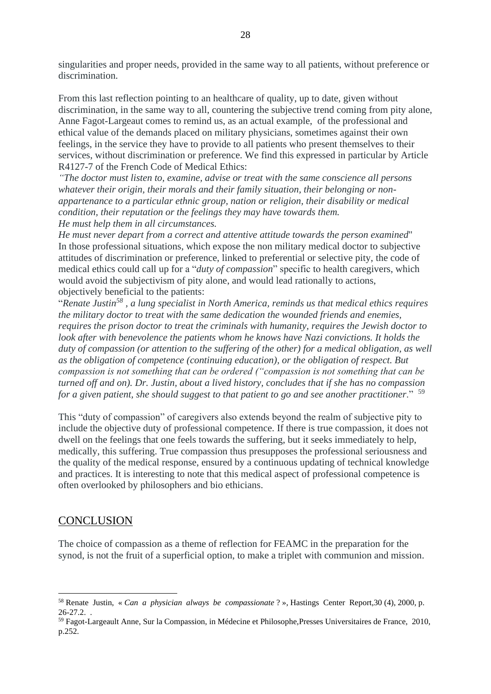singularities and proper needs, provided in the same way to all patients, without preference or discrimination.

From this last reflection pointing to an healthcare of quality, up to date, given without discrimination, in the same way to all, countering the subjective trend coming from pity alone, Anne Fagot-Largeaut comes to remind us, as an actual example, of the professional and ethical value of the demands placed on military physicians, sometimes against their own feelings, in the service they have to provide to all patients who present themselves to their services, without discrimination or preference. We find this expressed in particular by Article R4127-7 of the French Code of Medical Ethics:

*"The doctor must listen to, examine, advise or treat with the same conscience all persons whatever their origin, their morals and their family situation, their belonging or nonappartenance to a particular ethnic group, nation or religion, their disability or medical condition, their reputation or the feelings they may have towards them. He must help them in all circumstances.*

*He must never depart from a correct and attentive attitude towards the person examined*" In those professional situations, which expose the non military medical doctor to subjective attitudes of discrimination or preference, linked to preferential or selective pity, the code of medical ethics could call up for a "*duty of compassion*" specific to health caregivers, which would avoid the subjectivism of pity alone, and would lead rationally to actions, objectively beneficial to the patients:

"*Renate Justin<sup>58</sup> , a lung specialist in North America, reminds us that medical ethics requires the military doctor to treat with the same dedication the wounded friends and enemies, requires the prison doctor to treat the criminals with humanity, requires the Jewish doctor to look after with benevolence the patients whom he knows have Nazi convictions. It holds the duty of compassion (or attention to the suffering of the other) for a medical obligation, as well as the obligation of competence (continuing education), or the obligation of respect. But compassion is not something that can be ordered ("compassion is not something that can be turned off and on). Dr. Justin, about a lived history, concludes that if she has no compassion for a given patient, she should suggest to that patient to go and see another practitioner*." <sup>59</sup>

This "duty of compassion" of caregivers also extends beyond the realm of subjective pity to include the objective duty of professional competence. If there is true compassion, it does not dwell on the feelings that one feels towards the suffering, but it seeks immediately to help, medically, this suffering. True compassion thus presupposes the professional seriousness and the quality of the medical response, ensured by a continuous updating of technical knowledge and practices. It is interesting to note that this medical aspect of professional competence is often overlooked by philosophers and bio ethicians.

### **CONCLUSION**

The choice of compassion as a theme of reflection for FEAMC in the preparation for the synod, is not the fruit of a superficial option, to make a triplet with communion and mission.

<sup>58</sup> Renate Justin, « *Can a physician always be compassionate* ? », Hastings Center Report,30 (4), 2000, p. 26-27.2. .

<sup>59</sup> Fagot-Largeault Anne, Sur la Compassion, in Médecine et Philosophe,Presses Universitaires de France, 2010, p.252.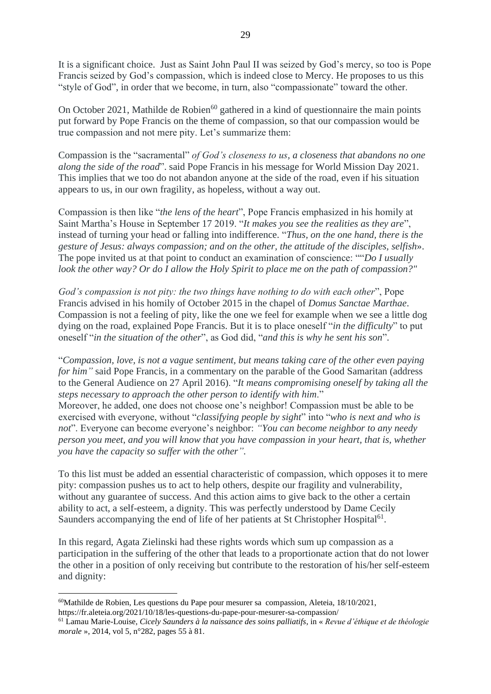It is a significant choice. Just as Saint John Paul II was seized by God's mercy, so too is Pope Francis seized by God's compassion, which is indeed close to Mercy. He proposes to us this "style of God", in order that we become, in turn, also "compassionate" toward the other.

On October 2021, Mathilde de Robien $^{60}$  gathered in a kind of questionnaire the main points put forward by Pope Francis on the theme of compassion, so that our compassion would be true compassion and not mere pity. Let's summarize them:

Compassion is the "sacramental" *of God's closeness to us, a closeness that abandons no one along the side of the road*". said Pope Francis in his message for World Mission Day 2021. This implies that we too do not abandon anyone at the side of the road, even if his situation appears to us, in our own fragility, as hopeless, without a way out.

Compassion is then like "*the lens of the heart*", Pope Francis emphasized in his homily at Saint Martha's House in September 17 2019. "*It makes you see the realities as they are*", instead of turning your head or falling into indifference. "*Thus, on the one hand, there is the gesture of Jesus: always compassion; and on the other, the attitude of the disciples, selfish*». The pope invited us at that point to conduct an examination of conscience: ""*Do I usually look the other way? Or do I allow the Holy Spirit to place me on the path of compassion?"*

*God's compassion is not pity: the two things have nothing to do with each other*", Pope Francis advised in his homily of October 2015 in the chapel of *Domus Sanctae Marthae*. Compassion is not a feeling of pity, like the one we feel for example when we see a little dog dying on the road, explained Pope Francis. But it is to place oneself "*in the difficulty*" to put oneself "*in the situation of the other*", as God did, "*and this is why he sent his son*".

"*Compassion, love, is not a vague sentiment, but means taking care of the other even paying for him*" said Pope Francis, in a commentary on the parable of the Good Samaritan (address to the General Audience on 27 April 2016). "*It means compromising oneself by taking all the steps necessary to approach the other person to identify with him*."

Moreover, he added, one does not choose one's neighbor! Compassion must be able to be exercised with everyone, without "*classifying people by sight*" into "*who is next and who is not*". Everyone can become everyone's neighbor: *"You can become neighbor to any needy person you meet, and you will know that you have compassion in your heart, that is, whether you have the capacity so suffer with the other".*

To this list must be added an essential characteristic of compassion, which opposes it to mere pity: compassion pushes us to act to help others, despite our fragility and vulnerability, without any guarantee of success. And this action aims to give back to the other a certain ability to act, a self-esteem, a dignity. This was perfectly understood by Dame Cecily Saunders accompanying the end of life of her patients at St Christopher Hospital<sup>61</sup>.

In this regard, Agata Zielinski had these rights words which sum up compassion as a participation in the suffering of the other that leads to a proportionate action that do not lower the other in a position of only receiving but contribute to the restoration of his/her self-esteem and dignity:

 $60$ Mathilde de Robien, Les questions du Pape pour mesurer sa compassion, Aleteia, 18/10/2021, https://fr.aleteia.org/2021/10/18/les-questions-du-pape-pour-mesurer-sa-compassion/

<sup>61</sup> Lamau Marie-Louise, *Cicely Saunders à la naissance des soins palliatifs*, in « *Revue d'éthique et de théologie morale* », 2014, vol 5, n°282, pages 55 à 81.